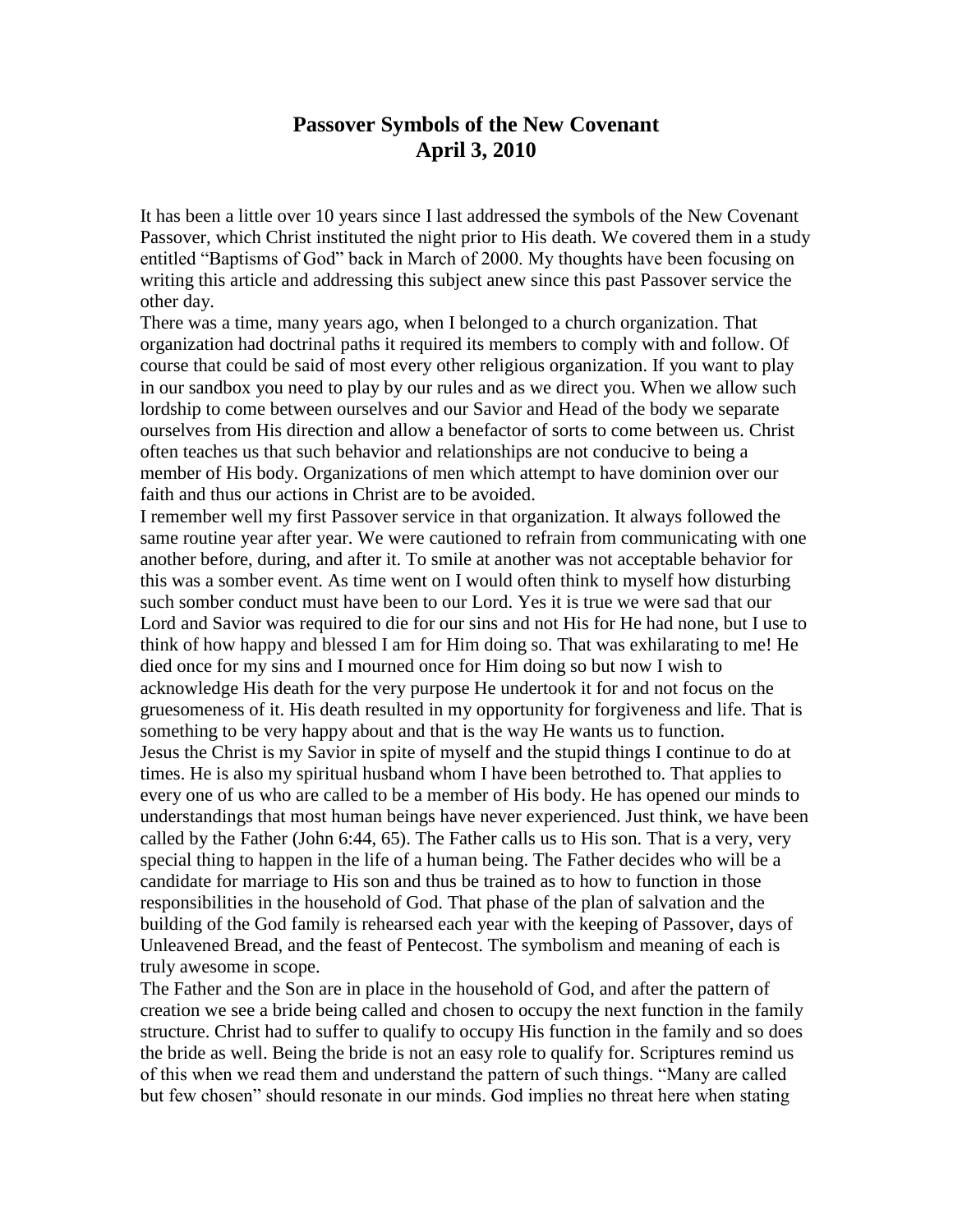## **Passover Symbols of the New Covenant April 3, 2010**

It has been a little over 10 years since I last addressed the symbols of the New Covenant Passover, which Christ instituted the night prior to His death. We covered them in a study entitled "Baptisms of God" back in March of 2000. My thoughts have been focusing on writing this article and addressing this subject anew since this past Passover service the other day.

There was a time, many years ago, when I belonged to a church organization. That organization had doctrinal paths it required its members to comply with and follow. Of course that could be said of most every other religious organization. If you want to play in our sandbox you need to play by our rules and as we direct you. When we allow such lordship to come between ourselves and our Savior and Head of the body we separate ourselves from His direction and allow a benefactor of sorts to come between us. Christ often teaches us that such behavior and relationships are not conducive to being a member of His body. Organizations of men which attempt to have dominion over our faith and thus our actions in Christ are to be avoided.

I remember well my first Passover service in that organization. It always followed the same routine year after year. We were cautioned to refrain from communicating with one another before, during, and after it. To smile at another was not acceptable behavior for this was a somber event. As time went on I would often think to myself how disturbing such somber conduct must have been to our Lord. Yes it is true we were sad that our Lord and Savior was required to die for our sins and not His for He had none, but I use to think of how happy and blessed I am for Him doing so. That was exhilarating to me! He died once for my sins and I mourned once for Him doing so but now I wish to acknowledge His death for the very purpose He undertook it for and not focus on the gruesomeness of it. His death resulted in my opportunity for forgiveness and life. That is something to be very happy about and that is the way He wants us to function. Jesus the Christ is my Savior in spite of myself and the stupid things I continue to do at times. He is also my spiritual husband whom I have been betrothed to. That applies to every one of us who are called to be a member of His body. He has opened our minds to understandings that most human beings have never experienced. Just think, we have been called by the Father (John 6:44, 65). The Father calls us to His son. That is a very, very special thing to happen in the life of a human being. The Father decides who will be a candidate for marriage to His son and thus be trained as to how to function in those responsibilities in the household of God. That phase of the plan of salvation and the building of the God family is rehearsed each year with the keeping of Passover, days of Unleavened Bread, and the feast of Pentecost. The symbolism and meaning of each is truly awesome in scope.

The Father and the Son are in place in the household of God, and after the pattern of creation we see a bride being called and chosen to occupy the next function in the family structure. Christ had to suffer to qualify to occupy His function in the family and so does the bride as well. Being the bride is not an easy role to qualify for. Scriptures remind us of this when we read them and understand the pattern of such things. "Many are called but few chosen" should resonate in our minds. God implies no threat here when stating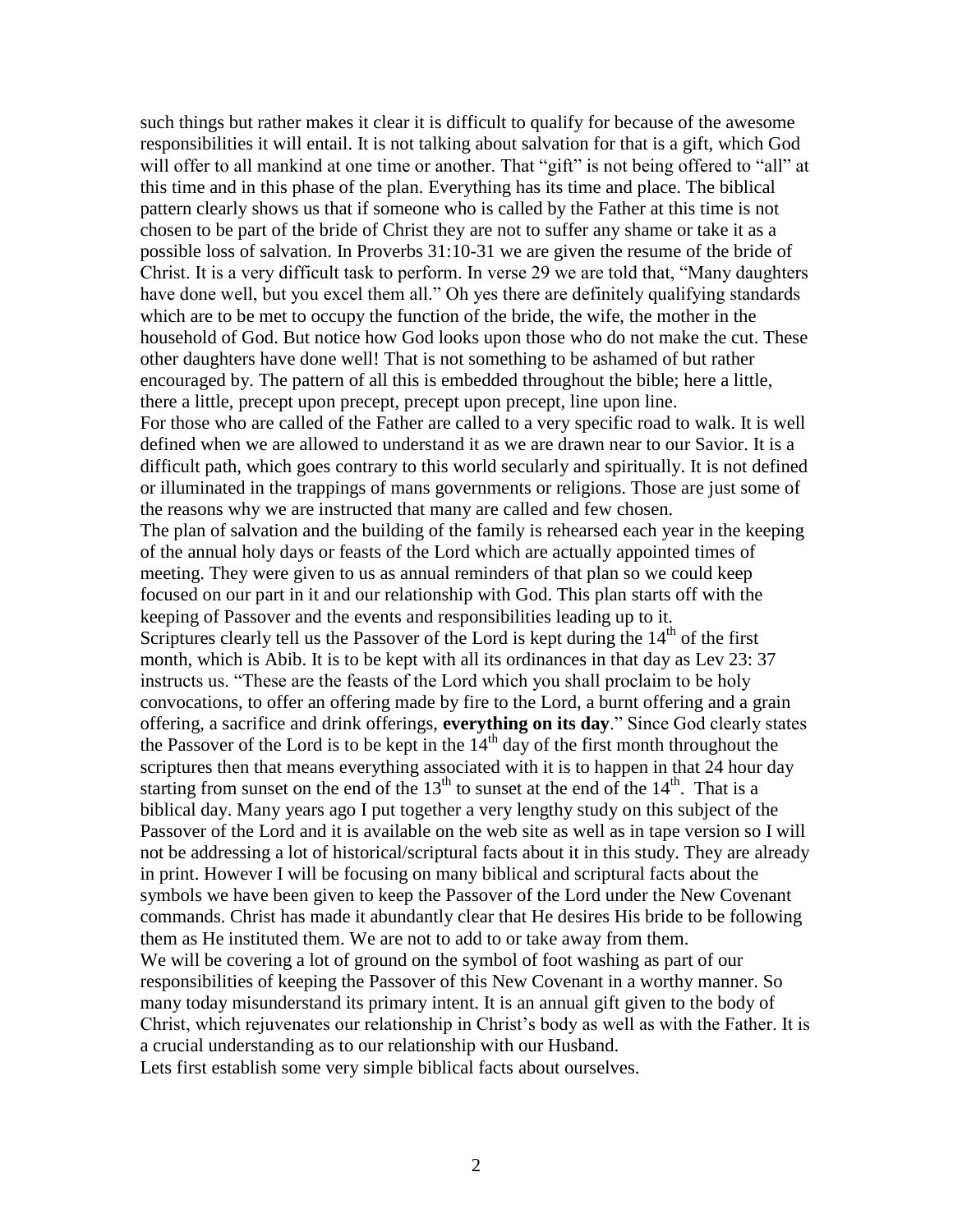such things but rather makes it clear it is difficult to qualify for because of the awesome responsibilities it will entail. It is not talking about salvation for that is a gift, which God will offer to all mankind at one time or another. That "gift" is not being offered to "all" at this time and in this phase of the plan. Everything has its time and place. The biblical pattern clearly shows us that if someone who is called by the Father at this time is not chosen to be part of the bride of Christ they are not to suffer any shame or take it as a possible loss of salvation. In Proverbs 31:10-31 we are given the resume of the bride of Christ. It is a very difficult task to perform. In verse 29 we are told that, "Many daughters have done well, but you excel them all." Oh yes there are definitely qualifying standards which are to be met to occupy the function of the bride, the wife, the mother in the household of God. But notice how God looks upon those who do not make the cut. These other daughters have done well! That is not something to be ashamed of but rather encouraged by. The pattern of all this is embedded throughout the bible; here a little, there a little, precept upon precept, precept upon precept, line upon line. For those who are called of the Father are called to a very specific road to walk. It is well defined when we are allowed to understand it as we are drawn near to our Savior. It is a difficult path, which goes contrary to this world secularly and spiritually. It is not defined or illuminated in the trappings of mans governments or religions. Those are just some of the reasons why we are instructed that many are called and few chosen. The plan of salvation and the building of the family is rehearsed each year in the keeping of the annual holy days or feasts of the Lord which are actually appointed times of meeting. They were given to us as annual reminders of that plan so we could keep focused on our part in it and our relationship with God. This plan starts off with the keeping of Passover and the events and responsibilities leading up to it. Scriptures clearly tell us the Passover of the Lord is kept during the  $14<sup>th</sup>$  of the first month, which is Abib. It is to be kept with all its ordinances in that day as Lev 23: 37 instructs us. "These are the feasts of the Lord which you shall proclaim to be holy convocations, to offer an offering made by fire to the Lord, a burnt offering and a grain offering, a sacrifice and drink offerings, **everything on its day**." Since God clearly states the Passover of the Lord is to be kept in the  $14<sup>th</sup>$  day of the first month throughout the scriptures then that means everything associated with it is to happen in that 24 hour day starting from sunset on the end of the  $13<sup>th</sup>$  to sunset at the end of the  $14<sup>th</sup>$ . That is a biblical day. Many years ago I put together a very lengthy study on this subject of the Passover of the Lord and it is available on the web site as well as in tape version so I will not be addressing a lot of historical/scriptural facts about it in this study. They are already in print. However I will be focusing on many biblical and scriptural facts about the symbols we have been given to keep the Passover of the Lord under the New Covenant commands. Christ has made it abundantly clear that He desires His bride to be following them as He instituted them. We are not to add to or take away from them. We will be covering a lot of ground on the symbol of foot washing as part of our responsibilities of keeping the Passover of this New Covenant in a worthy manner. So many today misunderstand its primary intent. It is an annual gift given to the body of Christ, which rejuvenates our relationship in Christ's body as well as with the Father. It is a crucial understanding as to our relationship with our Husband. Lets first establish some very simple biblical facts about ourselves.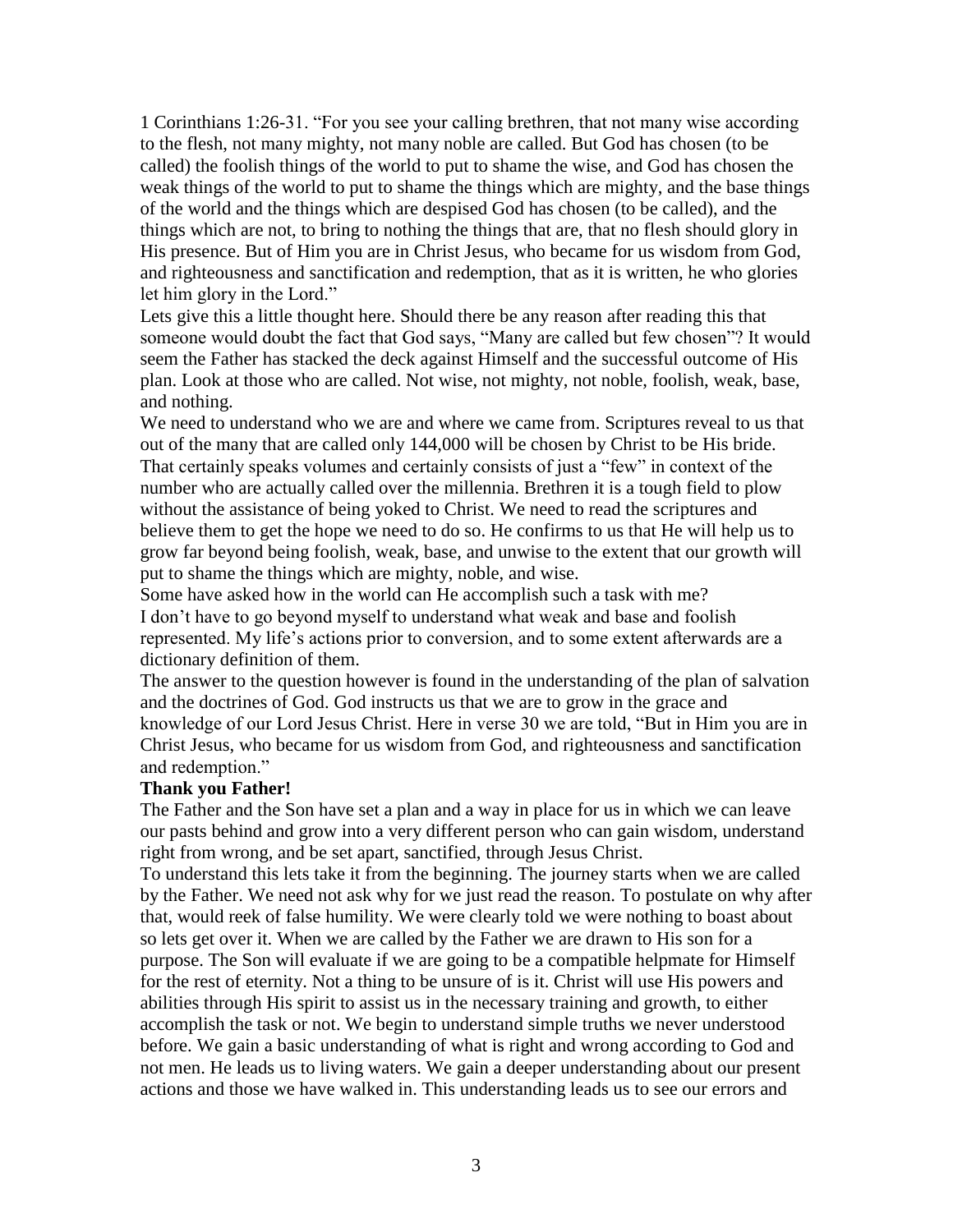1 Corinthians 1:26-31. "For you see your calling brethren, that not many wise according to the flesh, not many mighty, not many noble are called. But God has chosen (to be called) the foolish things of the world to put to shame the wise, and God has chosen the weak things of the world to put to shame the things which are mighty, and the base things of the world and the things which are despised God has chosen (to be called), and the things which are not, to bring to nothing the things that are, that no flesh should glory in His presence. But of Him you are in Christ Jesus, who became for us wisdom from God, and righteousness and sanctification and redemption, that as it is written, he who glories let him glory in the Lord."

Lets give this a little thought here. Should there be any reason after reading this that someone would doubt the fact that God says, "Many are called but few chosen"? It would seem the Father has stacked the deck against Himself and the successful outcome of His plan. Look at those who are called. Not wise, not mighty, not noble, foolish, weak, base, and nothing.

We need to understand who we are and where we came from. Scriptures reveal to us that out of the many that are called only 144,000 will be chosen by Christ to be His bride. That certainly speaks volumes and certainly consists of just a "few" in context of the number who are actually called over the millennia. Brethren it is a tough field to plow without the assistance of being yoked to Christ. We need to read the scriptures and believe them to get the hope we need to do so. He confirms to us that He will help us to grow far beyond being foolish, weak, base, and unwise to the extent that our growth will put to shame the things which are mighty, noble, and wise.

Some have asked how in the world can He accomplish such a task with me? I don't have to go beyond myself to understand what weak and base and foolish represented. My life's actions prior to conversion, and to some extent afterwards are a dictionary definition of them.

The answer to the question however is found in the understanding of the plan of salvation and the doctrines of God. God instructs us that we are to grow in the grace and knowledge of our Lord Jesus Christ. Here in verse 30 we are told, "But in Him you are in Christ Jesus, who became for us wisdom from God, and righteousness and sanctification and redemption."

## **Thank you Father!**

The Father and the Son have set a plan and a way in place for us in which we can leave our pasts behind and grow into a very different person who can gain wisdom, understand right from wrong, and be set apart, sanctified, through Jesus Christ.

To understand this lets take it from the beginning. The journey starts when we are called by the Father. We need not ask why for we just read the reason. To postulate on why after that, would reek of false humility. We were clearly told we were nothing to boast about so lets get over it. When we are called by the Father we are drawn to His son for a purpose. The Son will evaluate if we are going to be a compatible helpmate for Himself for the rest of eternity. Not a thing to be unsure of is it. Christ will use His powers and abilities through His spirit to assist us in the necessary training and growth, to either accomplish the task or not. We begin to understand simple truths we never understood before. We gain a basic understanding of what is right and wrong according to God and not men. He leads us to living waters. We gain a deeper understanding about our present actions and those we have walked in. This understanding leads us to see our errors and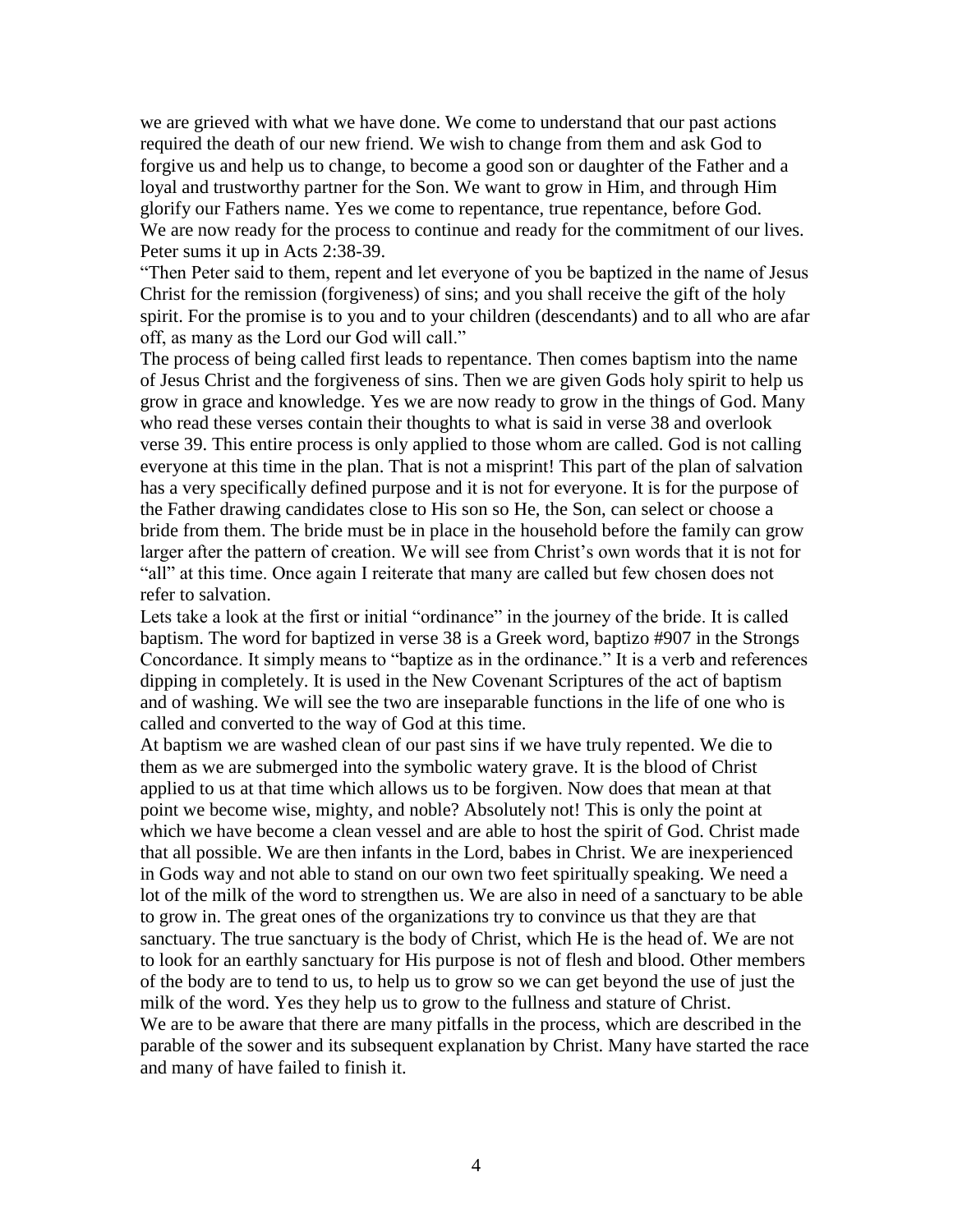we are grieved with what we have done. We come to understand that our past actions required the death of our new friend. We wish to change from them and ask God to forgive us and help us to change, to become a good son or daughter of the Father and a loyal and trustworthy partner for the Son. We want to grow in Him, and through Him glorify our Fathers name. Yes we come to repentance, true repentance, before God. We are now ready for the process to continue and ready for the commitment of our lives. Peter sums it up in Acts 2:38-39.

"Then Peter said to them, repent and let everyone of you be baptized in the name of Jesus Christ for the remission (forgiveness) of sins; and you shall receive the gift of the holy spirit. For the promise is to you and to your children (descendants) and to all who are afar off, as many as the Lord our God will call."

The process of being called first leads to repentance. Then comes baptism into the name of Jesus Christ and the forgiveness of sins. Then we are given Gods holy spirit to help us grow in grace and knowledge. Yes we are now ready to grow in the things of God. Many who read these verses contain their thoughts to what is said in verse 38 and overlook verse 39. This entire process is only applied to those whom are called. God is not calling everyone at this time in the plan. That is not a misprint! This part of the plan of salvation has a very specifically defined purpose and it is not for everyone. It is for the purpose of the Father drawing candidates close to His son so He, the Son, can select or choose a bride from them. The bride must be in place in the household before the family can grow larger after the pattern of creation. We will see from Christ's own words that it is not for "all" at this time. Once again I reiterate that many are called but few chosen does not refer to salvation.

Lets take a look at the first or initial "ordinance" in the journey of the bride. It is called baptism. The word for baptized in verse 38 is a Greek word, baptizo #907 in the Strongs Concordance. It simply means to "baptize as in the ordinance." It is a verb and references dipping in completely. It is used in the New Covenant Scriptures of the act of baptism and of washing. We will see the two are inseparable functions in the life of one who is called and converted to the way of God at this time.

At baptism we are washed clean of our past sins if we have truly repented. We die to them as we are submerged into the symbolic watery grave. It is the blood of Christ applied to us at that time which allows us to be forgiven. Now does that mean at that point we become wise, mighty, and noble? Absolutely not! This is only the point at which we have become a clean vessel and are able to host the spirit of God. Christ made that all possible. We are then infants in the Lord, babes in Christ. We are inexperienced in Gods way and not able to stand on our own two feet spiritually speaking. We need a lot of the milk of the word to strengthen us. We are also in need of a sanctuary to be able to grow in. The great ones of the organizations try to convince us that they are that sanctuary. The true sanctuary is the body of Christ, which He is the head of. We are not to look for an earthly sanctuary for His purpose is not of flesh and blood. Other members of the body are to tend to us, to help us to grow so we can get beyond the use of just the milk of the word. Yes they help us to grow to the fullness and stature of Christ. We are to be aware that there are many pitfalls in the process, which are described in the parable of the sower and its subsequent explanation by Christ. Many have started the race and many of have failed to finish it.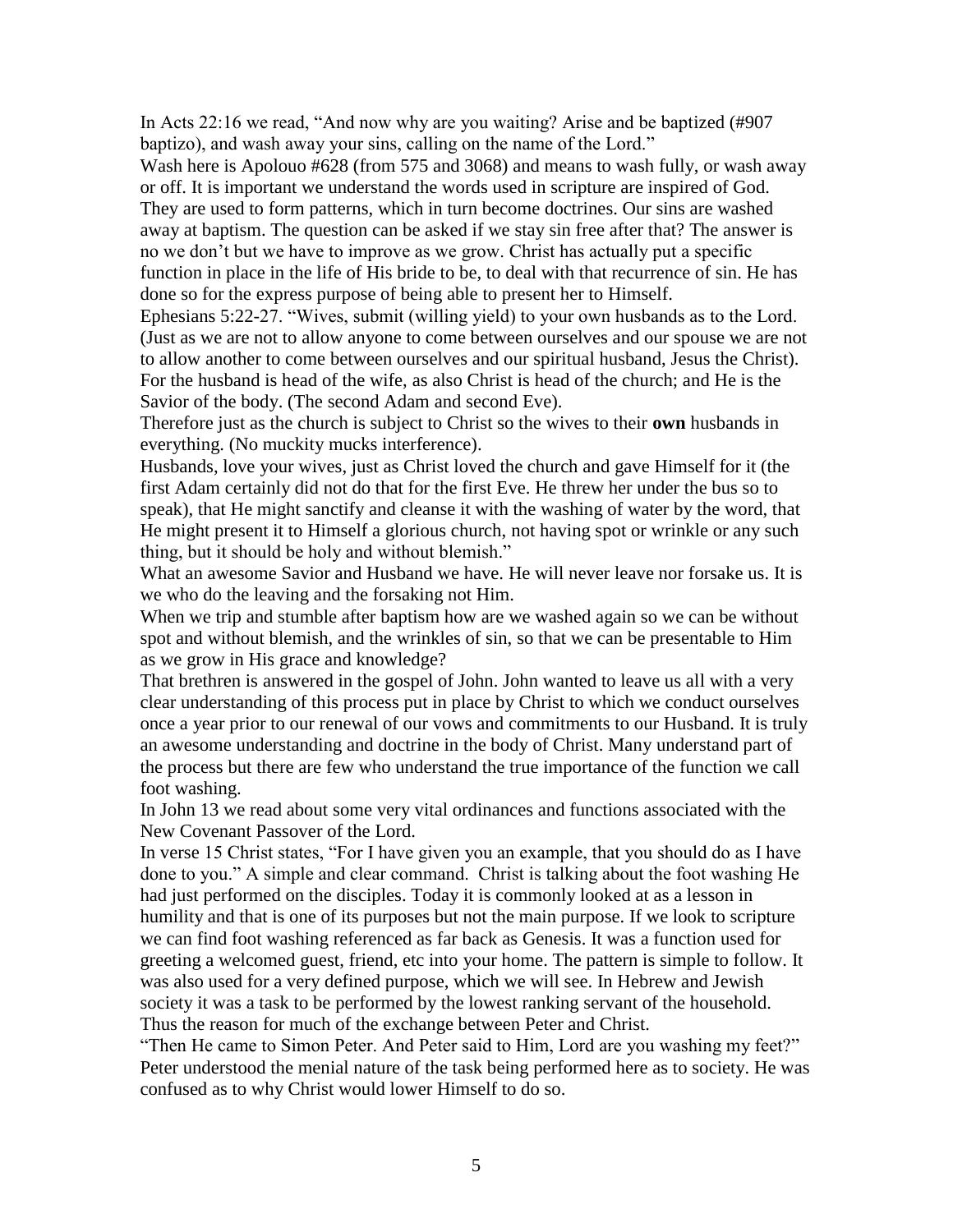In Acts 22:16 we read, "And now why are you waiting? Arise and be baptized (#907 baptizo), and wash away your sins, calling on the name of the Lord."

Wash here is Apolouo #628 (from 575 and 3068) and means to wash fully, or wash away or off. It is important we understand the words used in scripture are inspired of God. They are used to form patterns, which in turn become doctrines. Our sins are washed away at baptism. The question can be asked if we stay sin free after that? The answer is no we don't but we have to improve as we grow. Christ has actually put a specific function in place in the life of His bride to be, to deal with that recurrence of sin. He has done so for the express purpose of being able to present her to Himself.

Ephesians 5:22-27. "Wives, submit (willing yield) to your own husbands as to the Lord. (Just as we are not to allow anyone to come between ourselves and our spouse we are not to allow another to come between ourselves and our spiritual husband, Jesus the Christ). For the husband is head of the wife, as also Christ is head of the church; and He is the Savior of the body. (The second Adam and second Eve).

Therefore just as the church is subject to Christ so the wives to their **own** husbands in everything. (No muckity mucks interference).

Husbands, love your wives, just as Christ loved the church and gave Himself for it (the first Adam certainly did not do that for the first Eve. He threw her under the bus so to speak), that He might sanctify and cleanse it with the washing of water by the word, that He might present it to Himself a glorious church, not having spot or wrinkle or any such thing, but it should be holy and without blemish."

What an awesome Savior and Husband we have. He will never leave nor forsake us. It is we who do the leaving and the forsaking not Him.

When we trip and stumble after baptism how are we washed again so we can be without spot and without blemish, and the wrinkles of sin, so that we can be presentable to Him as we grow in His grace and knowledge?

That brethren is answered in the gospel of John. John wanted to leave us all with a very clear understanding of this process put in place by Christ to which we conduct ourselves once a year prior to our renewal of our vows and commitments to our Husband. It is truly an awesome understanding and doctrine in the body of Christ. Many understand part of the process but there are few who understand the true importance of the function we call foot washing.

In John 13 we read about some very vital ordinances and functions associated with the New Covenant Passover of the Lord.

In verse 15 Christ states, "For I have given you an example, that you should do as I have done to you." A simple and clear command. Christ is talking about the foot washing He had just performed on the disciples. Today it is commonly looked at as a lesson in humility and that is one of its purposes but not the main purpose. If we look to scripture we can find foot washing referenced as far back as Genesis. It was a function used for greeting a welcomed guest, friend, etc into your home. The pattern is simple to follow. It was also used for a very defined purpose, which we will see. In Hebrew and Jewish society it was a task to be performed by the lowest ranking servant of the household. Thus the reason for much of the exchange between Peter and Christ.

"Then He came to Simon Peter. And Peter said to Him, Lord are you washing my feet?" Peter understood the menial nature of the task being performed here as to society. He was confused as to why Christ would lower Himself to do so.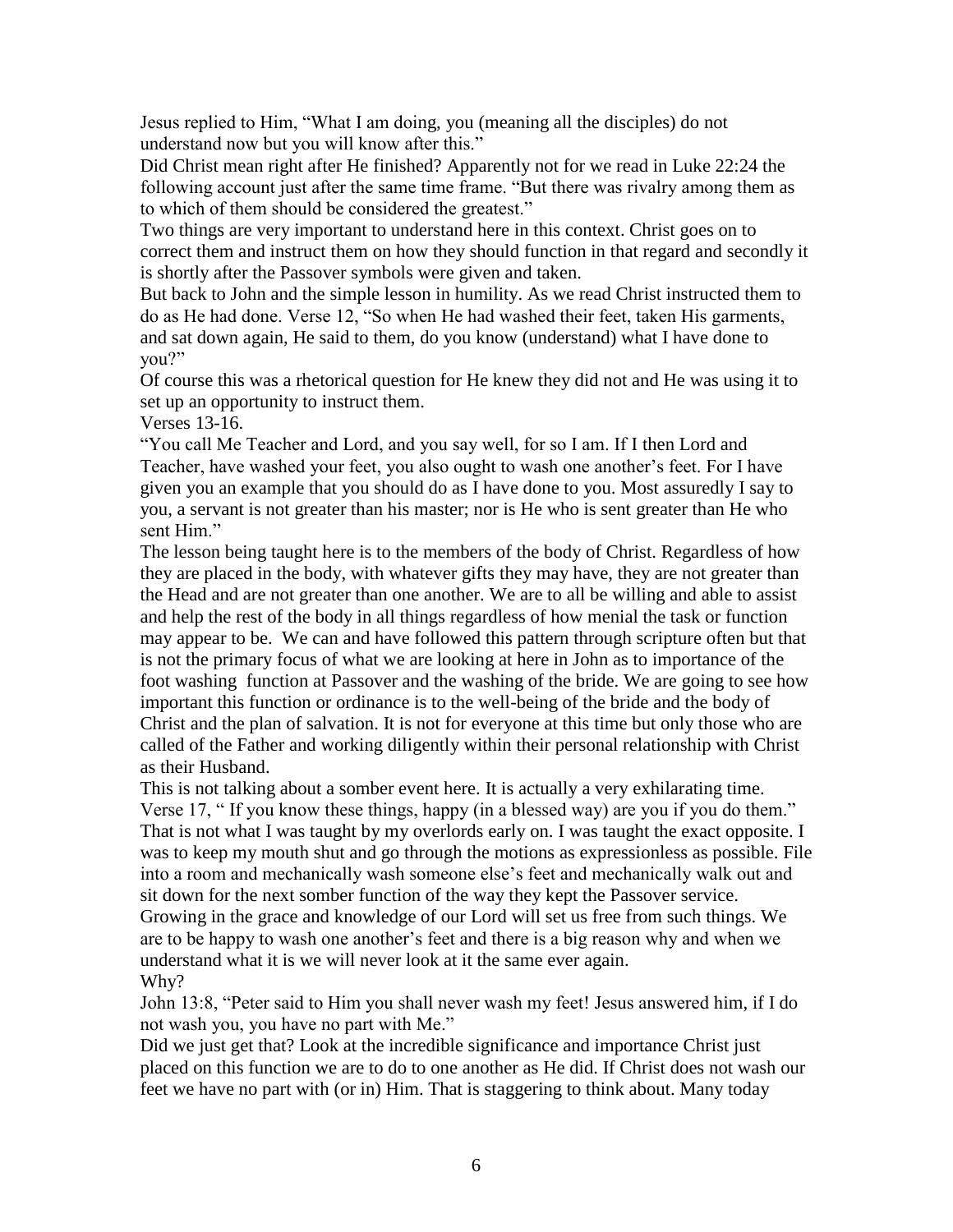Jesus replied to Him, "What I am doing, you (meaning all the disciples) do not understand now but you will know after this."

Did Christ mean right after He finished? Apparently not for we read in Luke 22:24 the following account just after the same time frame. "But there was rivalry among them as to which of them should be considered the greatest."

Two things are very important to understand here in this context. Christ goes on to correct them and instruct them on how they should function in that regard and secondly it is shortly after the Passover symbols were given and taken.

But back to John and the simple lesson in humility. As we read Christ instructed them to do as He had done. Verse 12, "So when He had washed their feet, taken His garments, and sat down again, He said to them, do you know (understand) what I have done to you?"

Of course this was a rhetorical question for He knew they did not and He was using it to set up an opportunity to instruct them.

Verses 13-16.

"You call Me Teacher and Lord, and you say well, for so I am. If I then Lord and Teacher, have washed your feet, you also ought to wash one another's feet. For I have given you an example that you should do as I have done to you. Most assuredly I say to you, a servant is not greater than his master; nor is He who is sent greater than He who sent Him."

The lesson being taught here is to the members of the body of Christ. Regardless of how they are placed in the body, with whatever gifts they may have, they are not greater than the Head and are not greater than one another. We are to all be willing and able to assist and help the rest of the body in all things regardless of how menial the task or function may appear to be. We can and have followed this pattern through scripture often but that is not the primary focus of what we are looking at here in John as to importance of the foot washing function at Passover and the washing of the bride. We are going to see how important this function or ordinance is to the well-being of the bride and the body of Christ and the plan of salvation. It is not for everyone at this time but only those who are called of the Father and working diligently within their personal relationship with Christ as their Husband.

This is not talking about a somber event here. It is actually a very exhilarating time. Verse 17, " If you know these things, happy (in a blessed way) are you if you do them." That is not what I was taught by my overlords early on. I was taught the exact opposite. I was to keep my mouth shut and go through the motions as expressionless as possible. File into a room and mechanically wash someone else's feet and mechanically walk out and sit down for the next somber function of the way they kept the Passover service. Growing in the grace and knowledge of our Lord will set us free from such things. We are to be happy to wash one another's feet and there is a big reason why and when we understand what it is we will never look at it the same ever again. Why?

John 13:8, "Peter said to Him you shall never wash my feet! Jesus answered him, if I do not wash you, you have no part with Me."

Did we just get that? Look at the incredible significance and importance Christ just placed on this function we are to do to one another as He did. If Christ does not wash our feet we have no part with (or in) Him. That is staggering to think about. Many today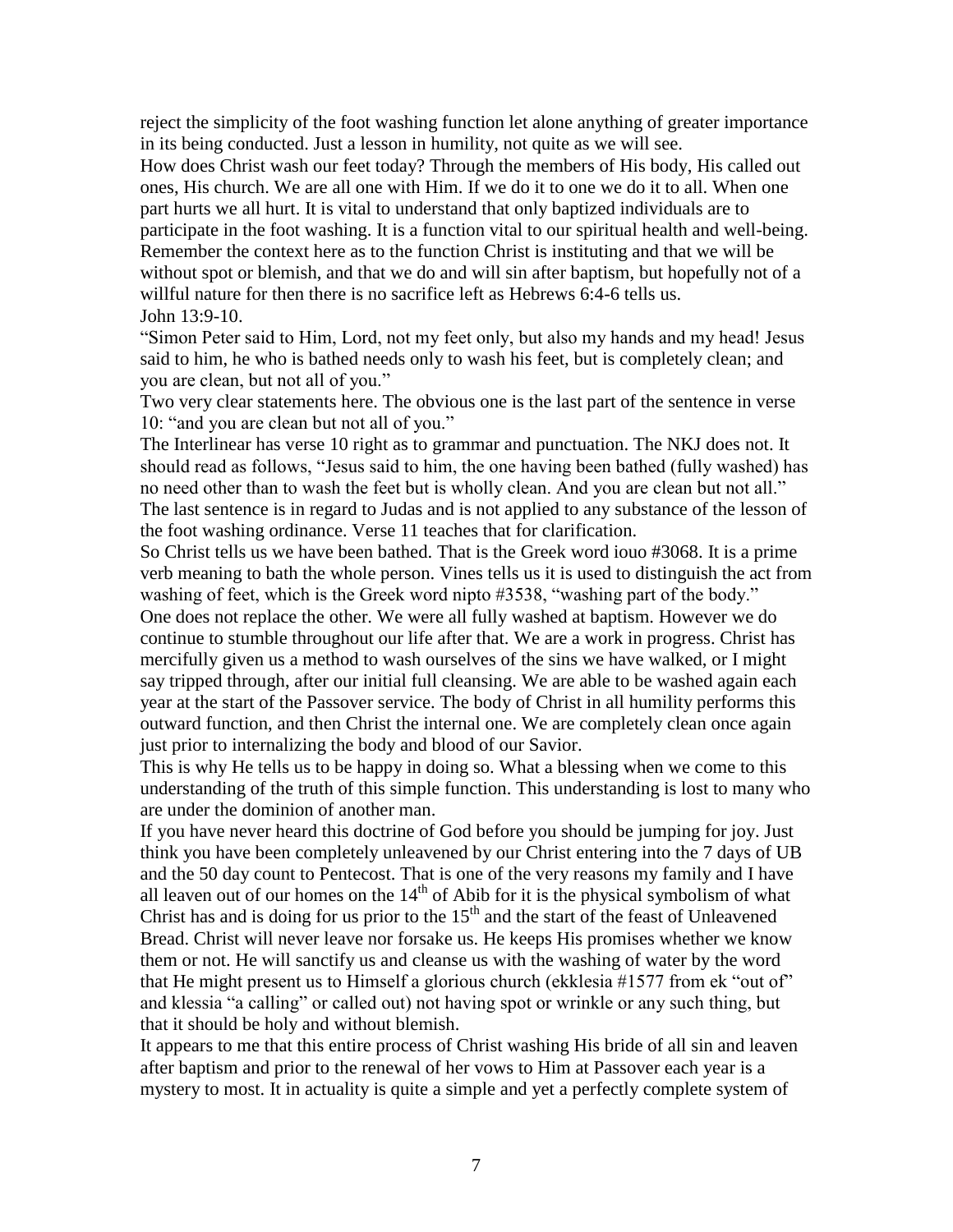reject the simplicity of the foot washing function let alone anything of greater importance in its being conducted. Just a lesson in humility, not quite as we will see.

How does Christ wash our feet today? Through the members of His body, His called out ones, His church. We are all one with Him. If we do it to one we do it to all. When one part hurts we all hurt. It is vital to understand that only baptized individuals are to participate in the foot washing. It is a function vital to our spiritual health and well-being. Remember the context here as to the function Christ is instituting and that we will be without spot or blemish, and that we do and will sin after baptism, but hopefully not of a willful nature for then there is no sacrifice left as Hebrews 6:4-6 tells us. John 13:9-10.

"Simon Peter said to Him, Lord, not my feet only, but also my hands and my head! Jesus said to him, he who is bathed needs only to wash his feet, but is completely clean; and you are clean, but not all of you."

Two very clear statements here. The obvious one is the last part of the sentence in verse 10: "and you are clean but not all of you."

The Interlinear has verse 10 right as to grammar and punctuation. The NKJ does not. It should read as follows, "Jesus said to him, the one having been bathed (fully washed) has no need other than to wash the feet but is wholly clean. And you are clean but not all." The last sentence is in regard to Judas and is not applied to any substance of the lesson of the foot washing ordinance. Verse 11 teaches that for clarification.

So Christ tells us we have been bathed. That is the Greek word iouo #3068. It is a prime verb meaning to bath the whole person. Vines tells us it is used to distinguish the act from washing of feet, which is the Greek word nipto #3538, "washing part of the body." One does not replace the other. We were all fully washed at baptism. However we do continue to stumble throughout our life after that. We are a work in progress. Christ has mercifully given us a method to wash ourselves of the sins we have walked, or I might say tripped through, after our initial full cleansing. We are able to be washed again each year at the start of the Passover service. The body of Christ in all humility performs this outward function, and then Christ the internal one. We are completely clean once again just prior to internalizing the body and blood of our Savior.

This is why He tells us to be happy in doing so. What a blessing when we come to this understanding of the truth of this simple function. This understanding is lost to many who are under the dominion of another man.

If you have never heard this doctrine of God before you should be jumping for joy. Just think you have been completely unleavened by our Christ entering into the 7 days of UB and the 50 day count to Pentecost. That is one of the very reasons my family and I have all leaven out of our homes on the  $14<sup>th</sup>$  of Abib for it is the physical symbolism of what Christ has and is doing for us prior to the  $15<sup>th</sup>$  and the start of the feast of Unleavened Bread. Christ will never leave nor forsake us. He keeps His promises whether we know them or not. He will sanctify us and cleanse us with the washing of water by the word that He might present us to Himself a glorious church (ekklesia #1577 from ek "out of" and klessia "a calling" or called out) not having spot or wrinkle or any such thing, but that it should be holy and without blemish.

It appears to me that this entire process of Christ washing His bride of all sin and leaven after baptism and prior to the renewal of her vows to Him at Passover each year is a mystery to most. It in actuality is quite a simple and yet a perfectly complete system of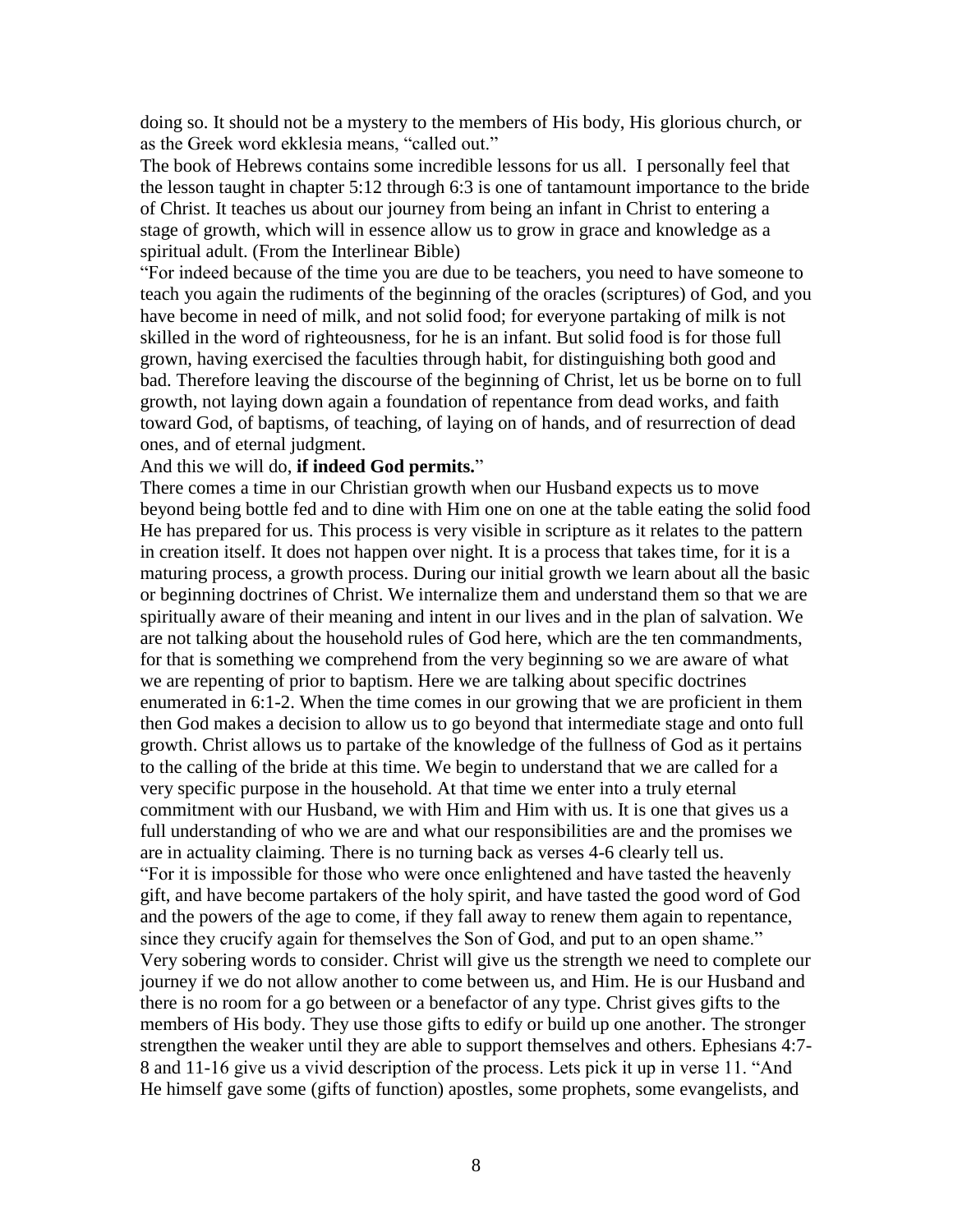doing so. It should not be a mystery to the members of His body, His glorious church, or as the Greek word ekklesia means, "called out."

The book of Hebrews contains some incredible lessons for us all. I personally feel that the lesson taught in chapter 5:12 through 6:3 is one of tantamount importance to the bride of Christ. It teaches us about our journey from being an infant in Christ to entering a stage of growth, which will in essence allow us to grow in grace and knowledge as a spiritual adult. (From the Interlinear Bible)

"For indeed because of the time you are due to be teachers, you need to have someone to teach you again the rudiments of the beginning of the oracles (scriptures) of God, and you have become in need of milk, and not solid food; for everyone partaking of milk is not skilled in the word of righteousness, for he is an infant. But solid food is for those full grown, having exercised the faculties through habit, for distinguishing both good and bad. Therefore leaving the discourse of the beginning of Christ, let us be borne on to full growth, not laying down again a foundation of repentance from dead works, and faith toward God, of baptisms, of teaching, of laying on of hands, and of resurrection of dead ones, and of eternal judgment.

## And this we will do, **if indeed God permits.**"

There comes a time in our Christian growth when our Husband expects us to move beyond being bottle fed and to dine with Him one on one at the table eating the solid food He has prepared for us. This process is very visible in scripture as it relates to the pattern in creation itself. It does not happen over night. It is a process that takes time, for it is a maturing process, a growth process. During our initial growth we learn about all the basic or beginning doctrines of Christ. We internalize them and understand them so that we are spiritually aware of their meaning and intent in our lives and in the plan of salvation. We are not talking about the household rules of God here, which are the ten commandments, for that is something we comprehend from the very beginning so we are aware of what we are repenting of prior to baptism. Here we are talking about specific doctrines enumerated in 6:1-2. When the time comes in our growing that we are proficient in them then God makes a decision to allow us to go beyond that intermediate stage and onto full growth. Christ allows us to partake of the knowledge of the fullness of God as it pertains to the calling of the bride at this time. We begin to understand that we are called for a very specific purpose in the household. At that time we enter into a truly eternal commitment with our Husband, we with Him and Him with us. It is one that gives us a full understanding of who we are and what our responsibilities are and the promises we are in actuality claiming. There is no turning back as verses 4-6 clearly tell us. "For it is impossible for those who were once enlightened and have tasted the heavenly gift, and have become partakers of the holy spirit, and have tasted the good word of God and the powers of the age to come, if they fall away to renew them again to repentance, since they crucify again for themselves the Son of God, and put to an open shame." Very sobering words to consider. Christ will give us the strength we need to complete our journey if we do not allow another to come between us, and Him. He is our Husband and there is no room for a go between or a benefactor of any type. Christ gives gifts to the members of His body. They use those gifts to edify or build up one another. The stronger strengthen the weaker until they are able to support themselves and others. Ephesians 4:7- 8 and 11-16 give us a vivid description of the process. Lets pick it up in verse 11. "And He himself gave some (gifts of function) apostles, some prophets, some evangelists, and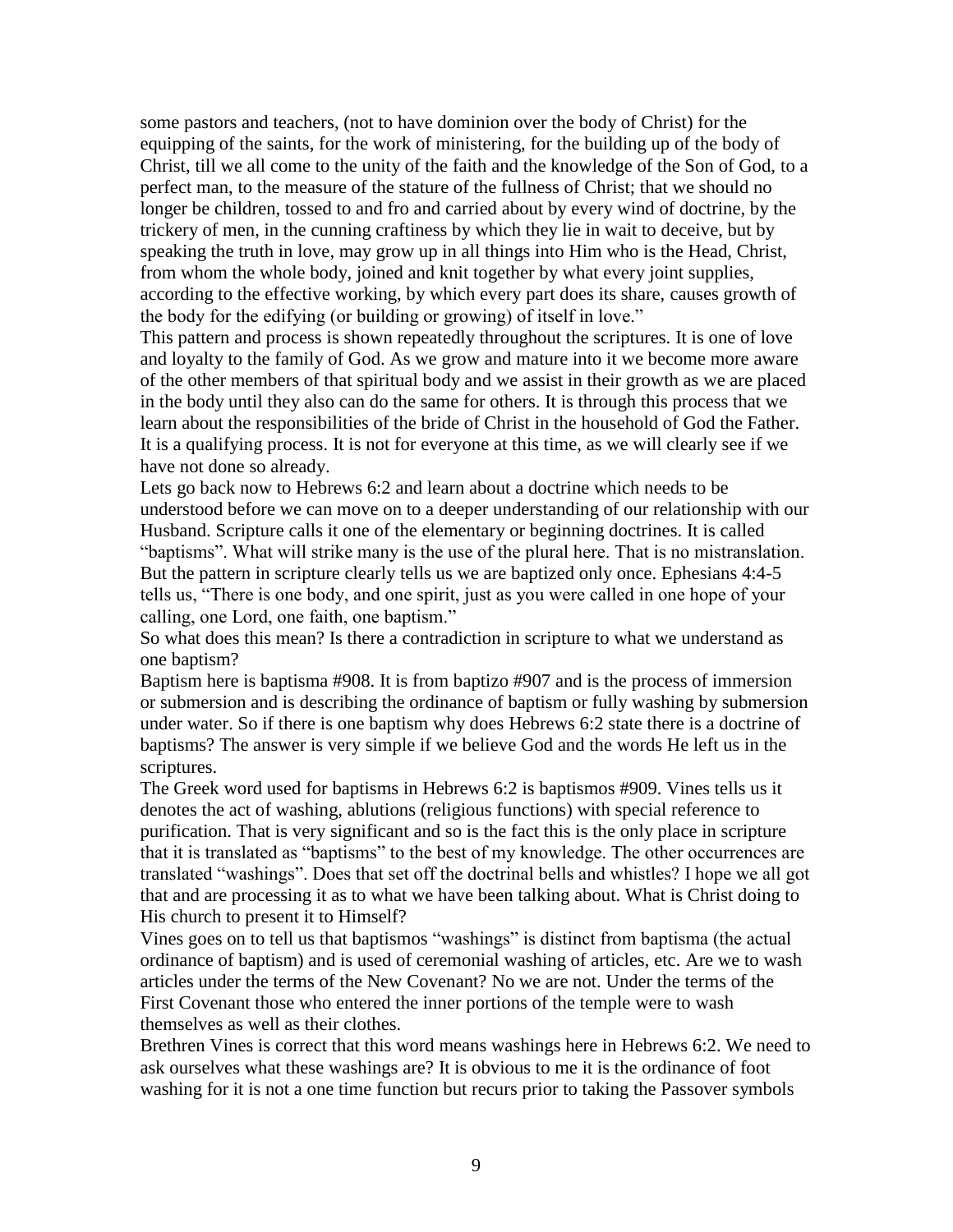some pastors and teachers, (not to have dominion over the body of Christ) for the equipping of the saints, for the work of ministering, for the building up of the body of Christ, till we all come to the unity of the faith and the knowledge of the Son of God, to a perfect man, to the measure of the stature of the fullness of Christ; that we should no longer be children, tossed to and fro and carried about by every wind of doctrine, by the trickery of men, in the cunning craftiness by which they lie in wait to deceive, but by speaking the truth in love, may grow up in all things into Him who is the Head, Christ, from whom the whole body, joined and knit together by what every joint supplies, according to the effective working, by which every part does its share, causes growth of the body for the edifying (or building or growing) of itself in love."

This pattern and process is shown repeatedly throughout the scriptures. It is one of love and loyalty to the family of God. As we grow and mature into it we become more aware of the other members of that spiritual body and we assist in their growth as we are placed in the body until they also can do the same for others. It is through this process that we learn about the responsibilities of the bride of Christ in the household of God the Father. It is a qualifying process. It is not for everyone at this time, as we will clearly see if we have not done so already.

Lets go back now to Hebrews 6:2 and learn about a doctrine which needs to be understood before we can move on to a deeper understanding of our relationship with our Husband. Scripture calls it one of the elementary or beginning doctrines. It is called "baptisms". What will strike many is the use of the plural here. That is no mistranslation. But the pattern in scripture clearly tells us we are baptized only once. Ephesians 4:4-5 tells us, "There is one body, and one spirit, just as you were called in one hope of your calling, one Lord, one faith, one baptism."

So what does this mean? Is there a contradiction in scripture to what we understand as one baptism?

Baptism here is baptisma #908. It is from baptizo #907 and is the process of immersion or submersion and is describing the ordinance of baptism or fully washing by submersion under water. So if there is one baptism why does Hebrews 6:2 state there is a doctrine of baptisms? The answer is very simple if we believe God and the words He left us in the scriptures.

The Greek word used for baptisms in Hebrews 6:2 is baptismos #909. Vines tells us it denotes the act of washing, ablutions (religious functions) with special reference to purification. That is very significant and so is the fact this is the only place in scripture that it is translated as "baptisms" to the best of my knowledge. The other occurrences are translated "washings". Does that set off the doctrinal bells and whistles? I hope we all got that and are processing it as to what we have been talking about. What is Christ doing to His church to present it to Himself?

Vines goes on to tell us that baptismos "washings" is distinct from baptisma (the actual ordinance of baptism) and is used of ceremonial washing of articles, etc. Are we to wash articles under the terms of the New Covenant? No we are not. Under the terms of the First Covenant those who entered the inner portions of the temple were to wash themselves as well as their clothes.

Brethren Vines is correct that this word means washings here in Hebrews 6:2. We need to ask ourselves what these washings are? It is obvious to me it is the ordinance of foot washing for it is not a one time function but recurs prior to taking the Passover symbols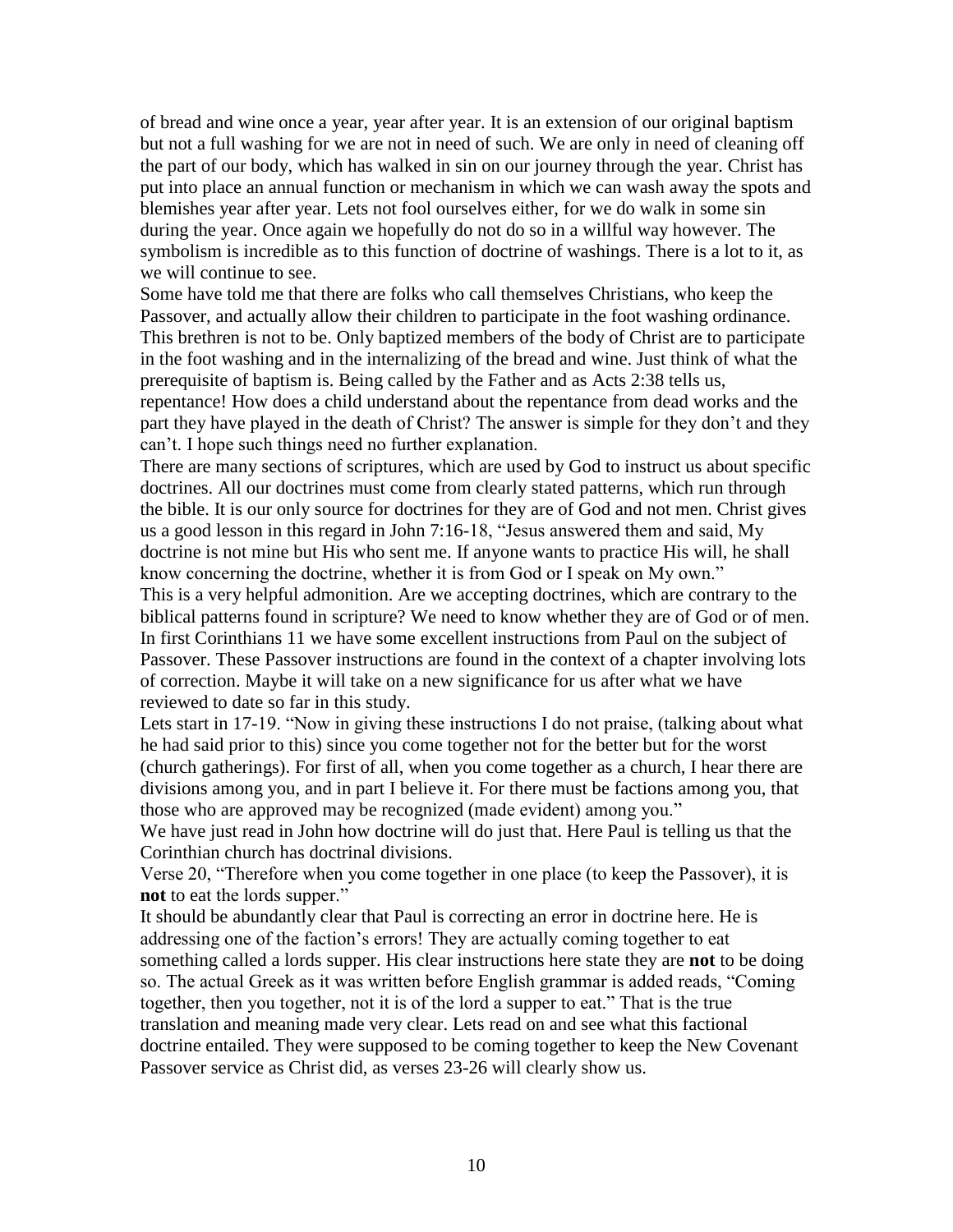of bread and wine once a year, year after year. It is an extension of our original baptism but not a full washing for we are not in need of such. We are only in need of cleaning off the part of our body, which has walked in sin on our journey through the year. Christ has put into place an annual function or mechanism in which we can wash away the spots and blemishes year after year. Lets not fool ourselves either, for we do walk in some sin during the year. Once again we hopefully do not do so in a willful way however. The symbolism is incredible as to this function of doctrine of washings. There is a lot to it, as we will continue to see.

Some have told me that there are folks who call themselves Christians, who keep the Passover, and actually allow their children to participate in the foot washing ordinance. This brethren is not to be. Only baptized members of the body of Christ are to participate in the foot washing and in the internalizing of the bread and wine. Just think of what the prerequisite of baptism is. Being called by the Father and as Acts 2:38 tells us, repentance! How does a child understand about the repentance from dead works and the part they have played in the death of Christ? The answer is simple for they don't and they can't. I hope such things need no further explanation.

There are many sections of scriptures, which are used by God to instruct us about specific doctrines. All our doctrines must come from clearly stated patterns, which run through the bible. It is our only source for doctrines for they are of God and not men. Christ gives us a good lesson in this regard in John 7:16-18, "Jesus answered them and said, My doctrine is not mine but His who sent me. If anyone wants to practice His will, he shall know concerning the doctrine, whether it is from God or I speak on My own."

This is a very helpful admonition. Are we accepting doctrines, which are contrary to the biblical patterns found in scripture? We need to know whether they are of God or of men. In first Corinthians 11 we have some excellent instructions from Paul on the subject of Passover. These Passover instructions are found in the context of a chapter involving lots of correction. Maybe it will take on a new significance for us after what we have reviewed to date so far in this study.

Lets start in 17-19. "Now in giving these instructions I do not praise, (talking about what he had said prior to this) since you come together not for the better but for the worst (church gatherings). For first of all, when you come together as a church, I hear there are divisions among you, and in part I believe it. For there must be factions among you, that those who are approved may be recognized (made evident) among you."

We have just read in John how doctrine will do just that. Here Paul is telling us that the Corinthian church has doctrinal divisions.

Verse 20, "Therefore when you come together in one place (to keep the Passover), it is **not** to eat the lords supper."

It should be abundantly clear that Paul is correcting an error in doctrine here. He is addressing one of the faction's errors! They are actually coming together to eat something called a lords supper. His clear instructions here state they are **not** to be doing so. The actual Greek as it was written before English grammar is added reads, "Coming together, then you together, not it is of the lord a supper to eat." That is the true translation and meaning made very clear. Lets read on and see what this factional doctrine entailed. They were supposed to be coming together to keep the New Covenant Passover service as Christ did, as verses 23-26 will clearly show us.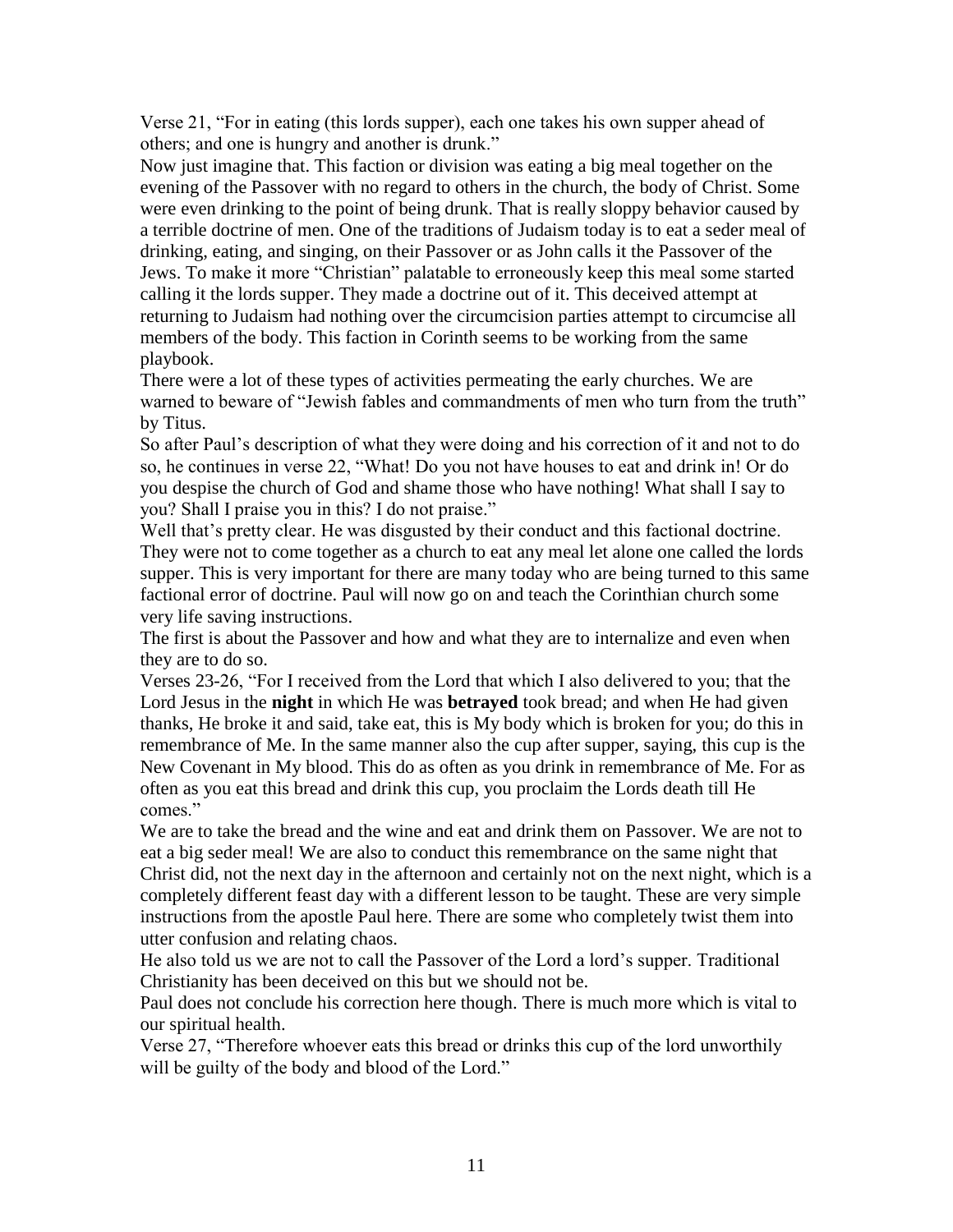Verse 21, "For in eating (this lords supper), each one takes his own supper ahead of others; and one is hungry and another is drunk."

Now just imagine that. This faction or division was eating a big meal together on the evening of the Passover with no regard to others in the church, the body of Christ. Some were even drinking to the point of being drunk. That is really sloppy behavior caused by a terrible doctrine of men. One of the traditions of Judaism today is to eat a seder meal of drinking, eating, and singing, on their Passover or as John calls it the Passover of the Jews. To make it more "Christian" palatable to erroneously keep this meal some started calling it the lords supper. They made a doctrine out of it. This deceived attempt at returning to Judaism had nothing over the circumcision parties attempt to circumcise all members of the body. This faction in Corinth seems to be working from the same playbook.

There were a lot of these types of activities permeating the early churches. We are warned to beware of "Jewish fables and commandments of men who turn from the truth" by Titus.

So after Paul's description of what they were doing and his correction of it and not to do so, he continues in verse 22, "What! Do you not have houses to eat and drink in! Or do you despise the church of God and shame those who have nothing! What shall I say to you? Shall I praise you in this? I do not praise."

Well that's pretty clear. He was disgusted by their conduct and this factional doctrine. They were not to come together as a church to eat any meal let alone one called the lords supper. This is very important for there are many today who are being turned to this same factional error of doctrine. Paul will now go on and teach the Corinthian church some very life saving instructions.

The first is about the Passover and how and what they are to internalize and even when they are to do so.

Verses 23-26, "For I received from the Lord that which I also delivered to you; that the Lord Jesus in the **night** in which He was **betrayed** took bread; and when He had given thanks, He broke it and said, take eat, this is My body which is broken for you; do this in remembrance of Me. In the same manner also the cup after supper, saying, this cup is the New Covenant in My blood. This do as often as you drink in remembrance of Me. For as often as you eat this bread and drink this cup, you proclaim the Lords death till He comes<sup>"</sup>

We are to take the bread and the wine and eat and drink them on Passover. We are not to eat a big seder meal! We are also to conduct this remembrance on the same night that Christ did, not the next day in the afternoon and certainly not on the next night, which is a completely different feast day with a different lesson to be taught. These are very simple instructions from the apostle Paul here. There are some who completely twist them into utter confusion and relating chaos.

He also told us we are not to call the Passover of the Lord a lord's supper. Traditional Christianity has been deceived on this but we should not be.

Paul does not conclude his correction here though. There is much more which is vital to our spiritual health.

Verse 27, "Therefore whoever eats this bread or drinks this cup of the lord unworthily will be guilty of the body and blood of the Lord."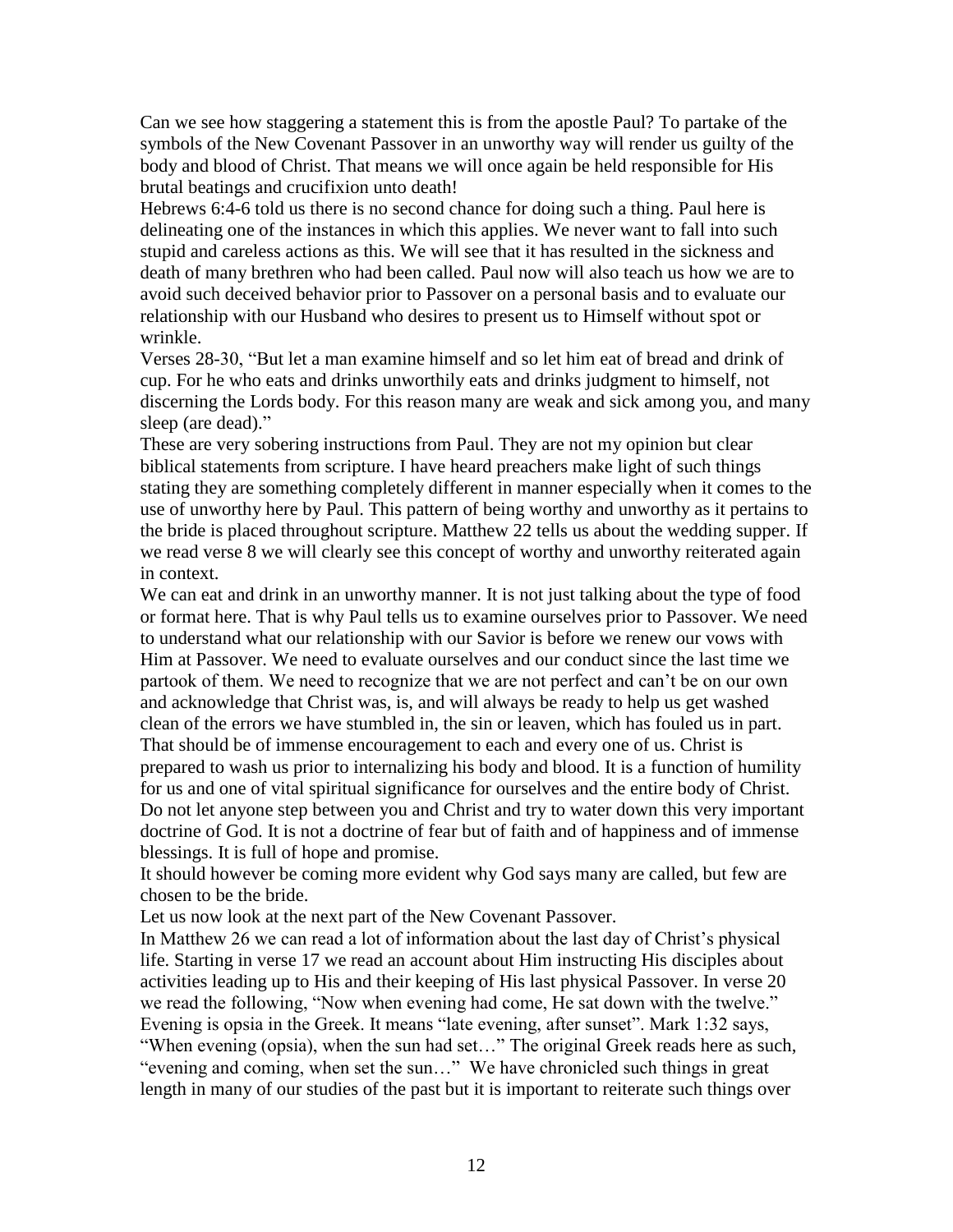Can we see how staggering a statement this is from the apostle Paul? To partake of the symbols of the New Covenant Passover in an unworthy way will render us guilty of the body and blood of Christ. That means we will once again be held responsible for His brutal beatings and crucifixion unto death!

Hebrews 6:4-6 told us there is no second chance for doing such a thing. Paul here is delineating one of the instances in which this applies. We never want to fall into such stupid and careless actions as this. We will see that it has resulted in the sickness and death of many brethren who had been called. Paul now will also teach us how we are to avoid such deceived behavior prior to Passover on a personal basis and to evaluate our relationship with our Husband who desires to present us to Himself without spot or wrinkle.

Verses 28-30, "But let a man examine himself and so let him eat of bread and drink of cup. For he who eats and drinks unworthily eats and drinks judgment to himself, not discerning the Lords body. For this reason many are weak and sick among you, and many sleep (are dead)."

These are very sobering instructions from Paul. They are not my opinion but clear biblical statements from scripture. I have heard preachers make light of such things stating they are something completely different in manner especially when it comes to the use of unworthy here by Paul. This pattern of being worthy and unworthy as it pertains to the bride is placed throughout scripture. Matthew 22 tells us about the wedding supper. If we read verse 8 we will clearly see this concept of worthy and unworthy reiterated again in context.

We can eat and drink in an unworthy manner. It is not just talking about the type of food or format here. That is why Paul tells us to examine ourselves prior to Passover. We need to understand what our relationship with our Savior is before we renew our vows with Him at Passover. We need to evaluate ourselves and our conduct since the last time we partook of them. We need to recognize that we are not perfect and can't be on our own and acknowledge that Christ was, is, and will always be ready to help us get washed clean of the errors we have stumbled in, the sin or leaven, which has fouled us in part. That should be of immense encouragement to each and every one of us. Christ is prepared to wash us prior to internalizing his body and blood. It is a function of humility for us and one of vital spiritual significance for ourselves and the entire body of Christ. Do not let anyone step between you and Christ and try to water down this very important doctrine of God. It is not a doctrine of fear but of faith and of happiness and of immense blessings. It is full of hope and promise.

It should however be coming more evident why God says many are called, but few are chosen to be the bride.

Let us now look at the next part of the New Covenant Passover.

In Matthew 26 we can read a lot of information about the last day of Christ's physical life. Starting in verse 17 we read an account about Him instructing His disciples about activities leading up to His and their keeping of His last physical Passover. In verse 20 we read the following, "Now when evening had come, He sat down with the twelve." Evening is opsia in the Greek. It means "late evening, after sunset". Mark 1:32 says, "When evening (opsia), when the sun had set…" The original Greek reads here as such, "evening and coming, when set the sun…" We have chronicled such things in great length in many of our studies of the past but it is important to reiterate such things over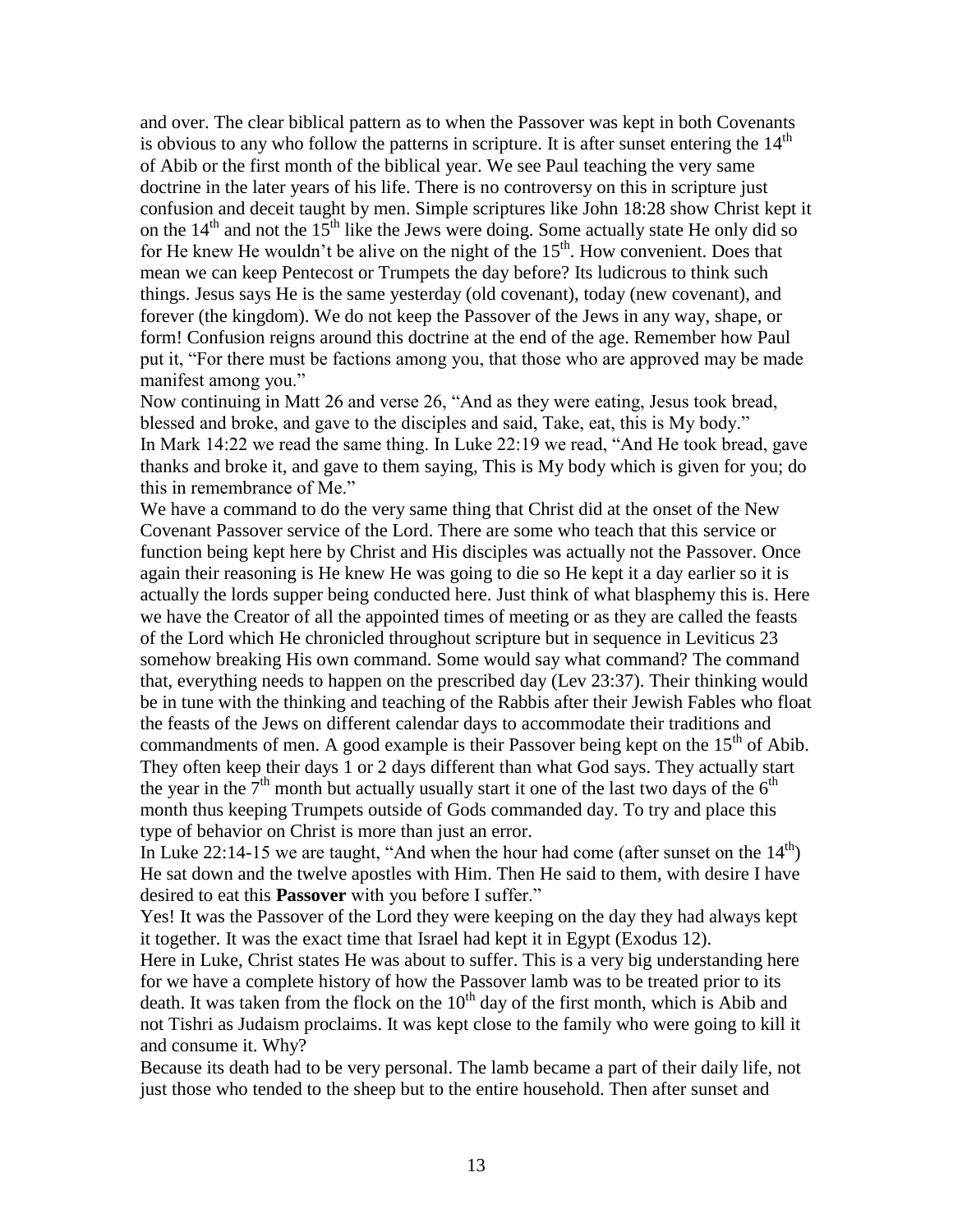and over. The clear biblical pattern as to when the Passover was kept in both Covenants is obvious to any who follow the patterns in scripture. It is after sunset entering the  $14<sup>th</sup>$ of Abib or the first month of the biblical year. We see Paul teaching the very same doctrine in the later years of his life. There is no controversy on this in scripture just confusion and deceit taught by men. Simple scriptures like John 18:28 show Christ kept it on the  $14<sup>th</sup>$  and not the  $15<sup>th</sup>$  like the Jews were doing. Some actually state He only did so for He knew He wouldn't be alive on the night of the  $15<sup>th</sup>$ . How convenient. Does that mean we can keep Pentecost or Trumpets the day before? Its ludicrous to think such things. Jesus says He is the same yesterday (old covenant), today (new covenant), and forever (the kingdom). We do not keep the Passover of the Jews in any way, shape, or form! Confusion reigns around this doctrine at the end of the age. Remember how Paul put it, "For there must be factions among you, that those who are approved may be made manifest among you."

Now continuing in Matt 26 and verse 26, "And as they were eating, Jesus took bread, blessed and broke, and gave to the disciples and said, Take, eat, this is My body." In Mark 14:22 we read the same thing. In Luke 22:19 we read, "And He took bread, gave thanks and broke it, and gave to them saying, This is My body which is given for you; do this in remembrance of Me."

We have a command to do the very same thing that Christ did at the onset of the New Covenant Passover service of the Lord. There are some who teach that this service or function being kept here by Christ and His disciples was actually not the Passover. Once again their reasoning is He knew He was going to die so He kept it a day earlier so it is actually the lords supper being conducted here. Just think of what blasphemy this is. Here we have the Creator of all the appointed times of meeting or as they are called the feasts of the Lord which He chronicled throughout scripture but in sequence in Leviticus 23 somehow breaking His own command. Some would say what command? The command that, everything needs to happen on the prescribed day (Lev 23:37). Their thinking would be in tune with the thinking and teaching of the Rabbis after their Jewish Fables who float the feasts of the Jews on different calendar days to accommodate their traditions and commandments of men. A good example is their Passover being kept on the  $15<sup>th</sup>$  of Abib. They often keep their days 1 or 2 days different than what God says. They actually start the year in the  $7<sup>th</sup>$  month but actually usually start it one of the last two days of the  $6<sup>th</sup>$ month thus keeping Trumpets outside of Gods commanded day. To try and place this type of behavior on Christ is more than just an error.

In Luke 22:14-15 we are taught, "And when the hour had come (after sunset on the  $14<sup>th</sup>$ ) He sat down and the twelve apostles with Him. Then He said to them, with desire I have desired to eat this **Passover** with you before I suffer."

Yes! It was the Passover of the Lord they were keeping on the day they had always kept it together. It was the exact time that Israel had kept it in Egypt (Exodus 12).

Here in Luke, Christ states He was about to suffer. This is a very big understanding here for we have a complete history of how the Passover lamb was to be treated prior to its death. It was taken from the flock on the  $10<sup>th</sup>$  day of the first month, which is Abib and not Tishri as Judaism proclaims. It was kept close to the family who were going to kill it and consume it. Why?

Because its death had to be very personal. The lamb became a part of their daily life, not just those who tended to the sheep but to the entire household. Then after sunset and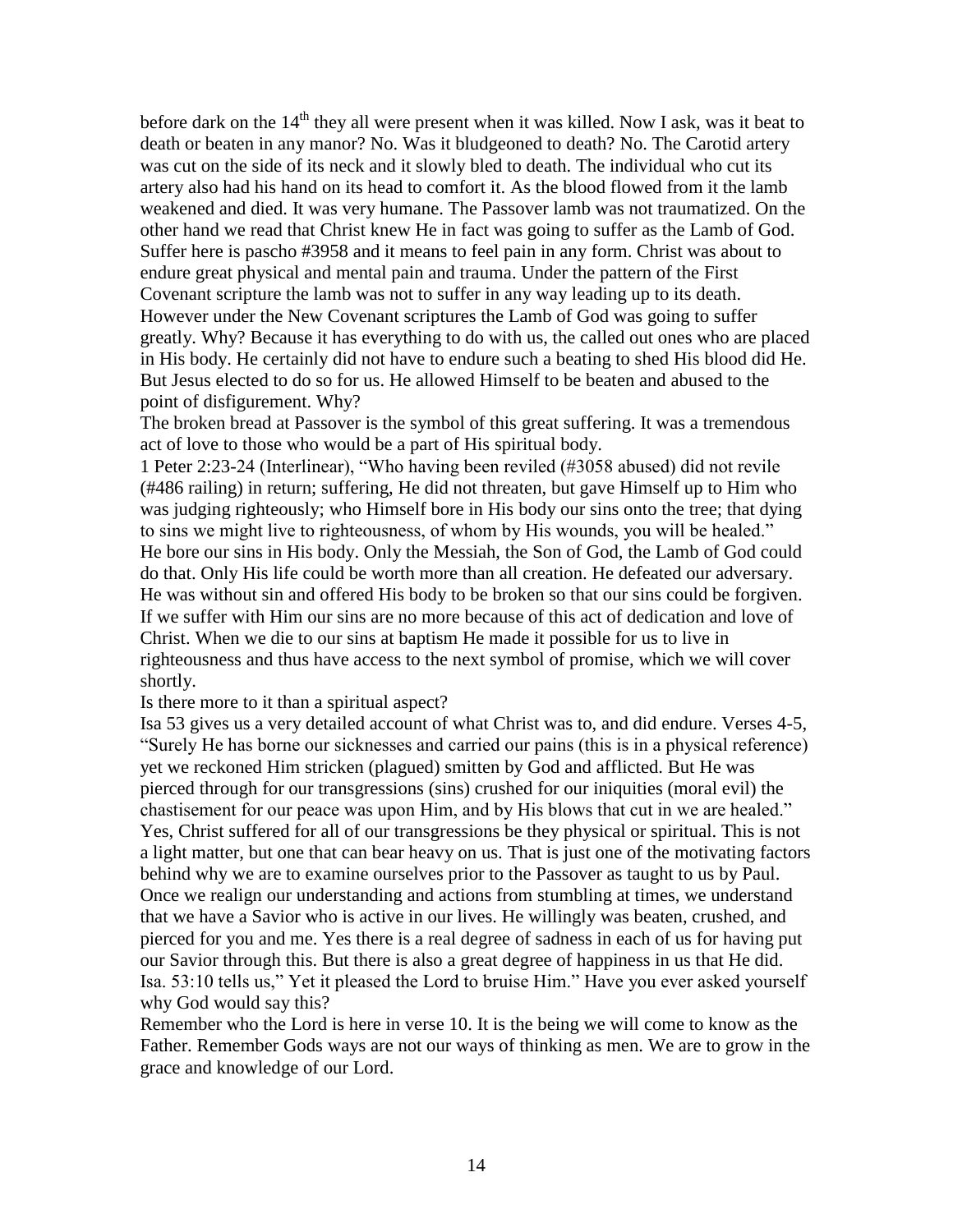before dark on the  $14<sup>th</sup>$  they all were present when it was killed. Now I ask, was it beat to death or beaten in any manor? No. Was it bludgeoned to death? No. The Carotid artery was cut on the side of its neck and it slowly bled to death. The individual who cut its artery also had his hand on its head to comfort it. As the blood flowed from it the lamb weakened and died. It was very humane. The Passover lamb was not traumatized. On the other hand we read that Christ knew He in fact was going to suffer as the Lamb of God. Suffer here is pascho #3958 and it means to feel pain in any form. Christ was about to endure great physical and mental pain and trauma. Under the pattern of the First Covenant scripture the lamb was not to suffer in any way leading up to its death. However under the New Covenant scriptures the Lamb of God was going to suffer greatly. Why? Because it has everything to do with us, the called out ones who are placed in His body. He certainly did not have to endure such a beating to shed His blood did He. But Jesus elected to do so for us. He allowed Himself to be beaten and abused to the point of disfigurement. Why?

The broken bread at Passover is the symbol of this great suffering. It was a tremendous act of love to those who would be a part of His spiritual body.

1 Peter 2:23-24 (Interlinear), "Who having been reviled (#3058 abused) did not revile (#486 railing) in return; suffering, He did not threaten, but gave Himself up to Him who was judging righteously; who Himself bore in His body our sins onto the tree; that dying to sins we might live to righteousness, of whom by His wounds, you will be healed." He bore our sins in His body. Only the Messiah, the Son of God, the Lamb of God could do that. Only His life could be worth more than all creation. He defeated our adversary. He was without sin and offered His body to be broken so that our sins could be forgiven. If we suffer with Him our sins are no more because of this act of dedication and love of Christ. When we die to our sins at baptism He made it possible for us to live in righteousness and thus have access to the next symbol of promise, which we will cover shortly.

Is there more to it than a spiritual aspect?

Isa 53 gives us a very detailed account of what Christ was to, and did endure. Verses 4-5, "Surely He has borne our sicknesses and carried our pains (this is in a physical reference) yet we reckoned Him stricken (plagued) smitten by God and afflicted. But He was pierced through for our transgressions (sins) crushed for our iniquities (moral evil) the chastisement for our peace was upon Him, and by His blows that cut in we are healed." Yes, Christ suffered for all of our transgressions be they physical or spiritual. This is not a light matter, but one that can bear heavy on us. That is just one of the motivating factors behind why we are to examine ourselves prior to the Passover as taught to us by Paul. Once we realign our understanding and actions from stumbling at times, we understand that we have a Savior who is active in our lives. He willingly was beaten, crushed, and pierced for you and me. Yes there is a real degree of sadness in each of us for having put our Savior through this. But there is also a great degree of happiness in us that He did. Isa. 53:10 tells us," Yet it pleased the Lord to bruise Him." Have you ever asked yourself why God would say this?

Remember who the Lord is here in verse 10. It is the being we will come to know as the Father. Remember Gods ways are not our ways of thinking as men. We are to grow in the grace and knowledge of our Lord.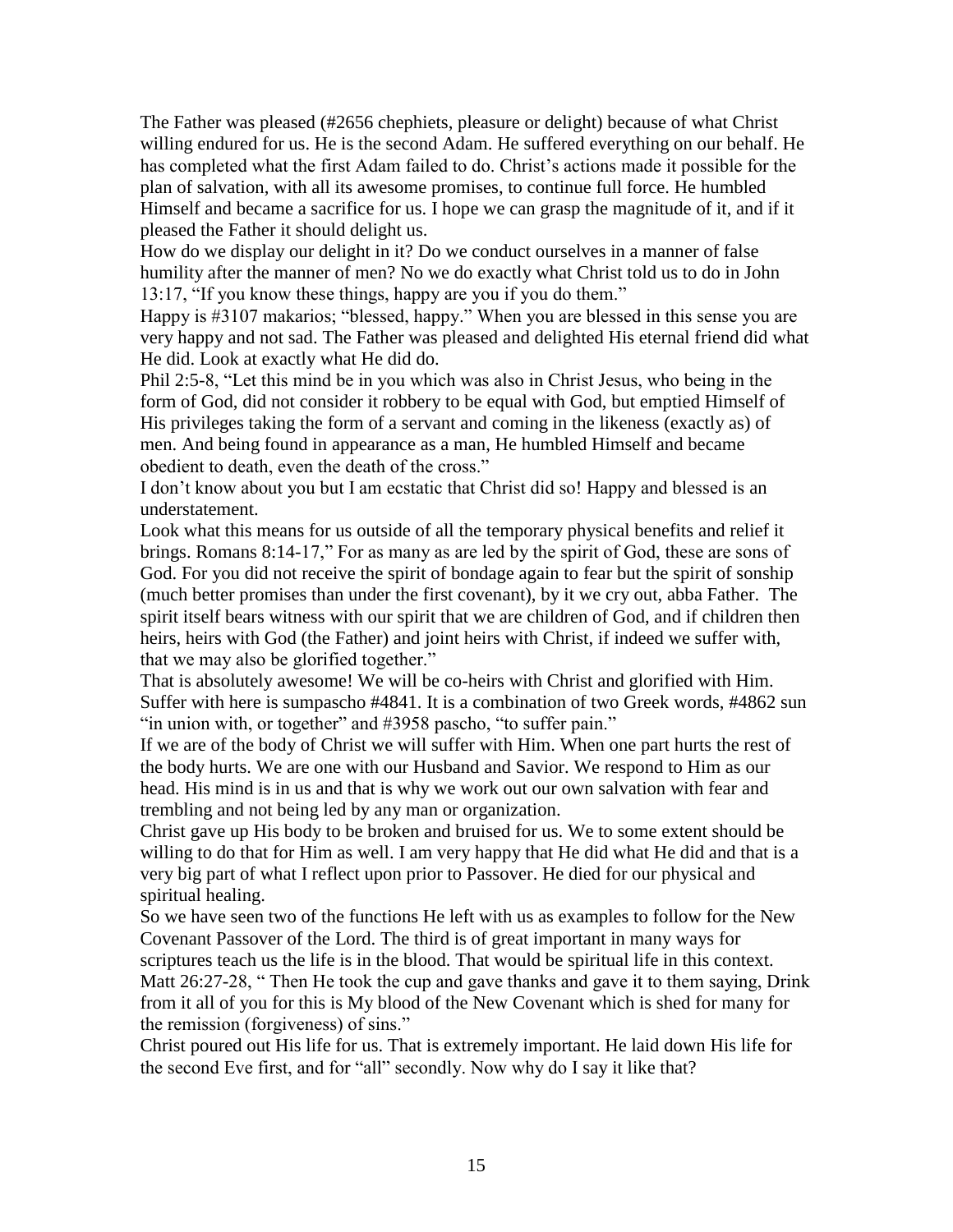The Father was pleased (#2656 chephiets, pleasure or delight) because of what Christ willing endured for us. He is the second Adam. He suffered everything on our behalf. He has completed what the first Adam failed to do. Christ's actions made it possible for the plan of salvation, with all its awesome promises, to continue full force. He humbled Himself and became a sacrifice for us. I hope we can grasp the magnitude of it, and if it pleased the Father it should delight us.

How do we display our delight in it? Do we conduct ourselves in a manner of false humility after the manner of men? No we do exactly what Christ told us to do in John 13:17, "If you know these things, happy are you if you do them."

Happy is #3107 makarios; "blessed, happy." When you are blessed in this sense you are very happy and not sad. The Father was pleased and delighted His eternal friend did what He did. Look at exactly what He did do.

Phil 2:5-8, "Let this mind be in you which was also in Christ Jesus, who being in the form of God, did not consider it robbery to be equal with God, but emptied Himself of His privileges taking the form of a servant and coming in the likeness (exactly as) of men. And being found in appearance as a man, He humbled Himself and became obedient to death, even the death of the cross."

I don't know about you but I am ecstatic that Christ did so! Happy and blessed is an understatement.

Look what this means for us outside of all the temporary physical benefits and relief it brings. Romans 8:14-17," For as many as are led by the spirit of God, these are sons of God. For you did not receive the spirit of bondage again to fear but the spirit of sonship (much better promises than under the first covenant), by it we cry out, abba Father. The spirit itself bears witness with our spirit that we are children of God, and if children then heirs, heirs with God (the Father) and joint heirs with Christ, if indeed we suffer with, that we may also be glorified together."

That is absolutely awesome! We will be co-heirs with Christ and glorified with Him. Suffer with here is sumpascho #4841. It is a combination of two Greek words, #4862 sun "in union with, or together" and #3958 pascho, "to suffer pain."

If we are of the body of Christ we will suffer with Him. When one part hurts the rest of the body hurts. We are one with our Husband and Savior. We respond to Him as our head. His mind is in us and that is why we work out our own salvation with fear and trembling and not being led by any man or organization.

Christ gave up His body to be broken and bruised for us. We to some extent should be willing to do that for Him as well. I am very happy that He did what He did and that is a very big part of what I reflect upon prior to Passover. He died for our physical and spiritual healing.

So we have seen two of the functions He left with us as examples to follow for the New Covenant Passover of the Lord. The third is of great important in many ways for scriptures teach us the life is in the blood. That would be spiritual life in this context. Matt 26:27-28, " Then He took the cup and gave thanks and gave it to them saying, Drink from it all of you for this is My blood of the New Covenant which is shed for many for the remission (forgiveness) of sins."

Christ poured out His life for us. That is extremely important. He laid down His life for the second Eve first, and for "all" secondly. Now why do I say it like that?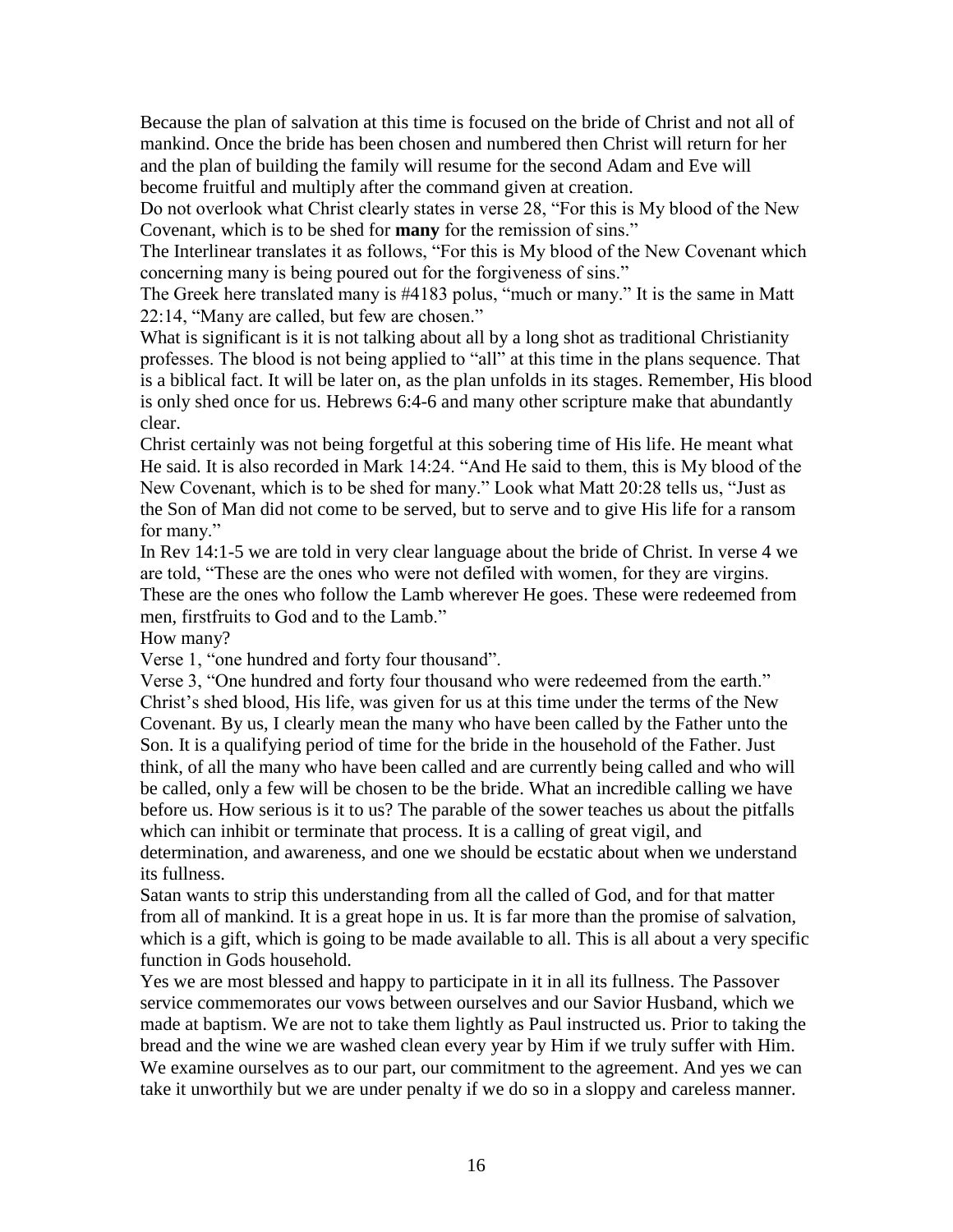Because the plan of salvation at this time is focused on the bride of Christ and not all of mankind. Once the bride has been chosen and numbered then Christ will return for her and the plan of building the family will resume for the second Adam and Eve will become fruitful and multiply after the command given at creation.

Do not overlook what Christ clearly states in verse 28, "For this is My blood of the New Covenant, which is to be shed for **many** for the remission of sins."

The Interlinear translates it as follows, "For this is My blood of the New Covenant which concerning many is being poured out for the forgiveness of sins."

The Greek here translated many is #4183 polus, "much or many." It is the same in Matt 22:14, "Many are called, but few are chosen."

What is significant is it is not talking about all by a long shot as traditional Christianity professes. The blood is not being applied to "all" at this time in the plans sequence. That is a biblical fact. It will be later on, as the plan unfolds in its stages. Remember, His blood is only shed once for us. Hebrews 6:4-6 and many other scripture make that abundantly clear.

Christ certainly was not being forgetful at this sobering time of His life. He meant what He said. It is also recorded in Mark 14:24. "And He said to them, this is My blood of the New Covenant, which is to be shed for many." Look what Matt 20:28 tells us, "Just as the Son of Man did not come to be served, but to serve and to give His life for a ransom for many."

In Rev 14:1-5 we are told in very clear language about the bride of Christ. In verse 4 we are told, "These are the ones who were not defiled with women, for they are virgins. These are the ones who follow the Lamb wherever He goes. These were redeemed from men, firstfruits to God and to the Lamb."

How many?

Verse 1, "one hundred and forty four thousand".

Verse 3, "One hundred and forty four thousand who were redeemed from the earth." Christ's shed blood, His life, was given for us at this time under the terms of the New Covenant. By us, I clearly mean the many who have been called by the Father unto the Son. It is a qualifying period of time for the bride in the household of the Father. Just think, of all the many who have been called and are currently being called and who will be called, only a few will be chosen to be the bride. What an incredible calling we have before us. How serious is it to us? The parable of the sower teaches us about the pitfalls which can inhibit or terminate that process. It is a calling of great vigil, and determination, and awareness, and one we should be ecstatic about when we understand its fullness.

Satan wants to strip this understanding from all the called of God, and for that matter from all of mankind. It is a great hope in us. It is far more than the promise of salvation, which is a gift, which is going to be made available to all. This is all about a very specific function in Gods household.

Yes we are most blessed and happy to participate in it in all its fullness. The Passover service commemorates our vows between ourselves and our Savior Husband, which we made at baptism. We are not to take them lightly as Paul instructed us. Prior to taking the bread and the wine we are washed clean every year by Him if we truly suffer with Him. We examine ourselves as to our part, our commitment to the agreement. And yes we can take it unworthily but we are under penalty if we do so in a sloppy and careless manner.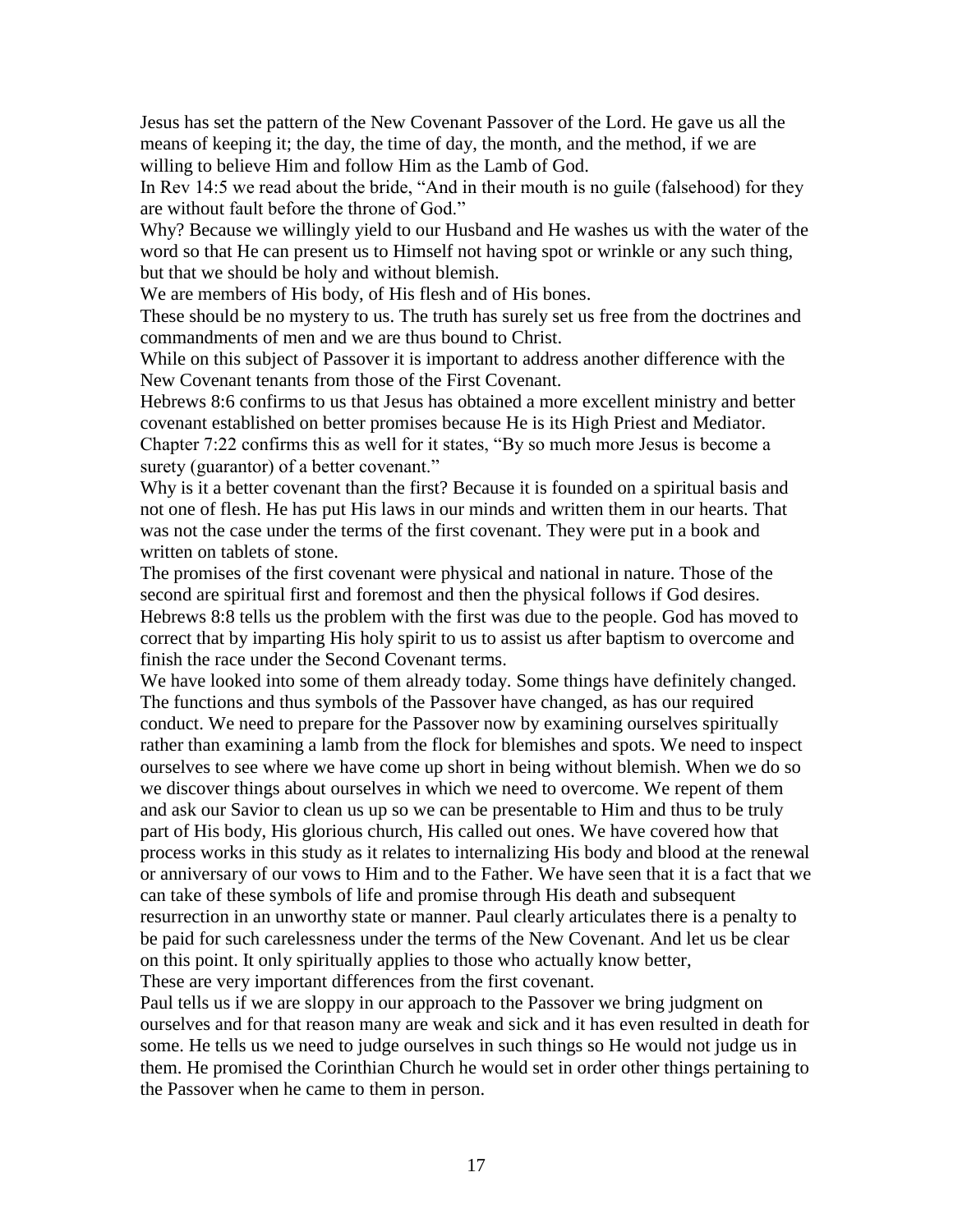Jesus has set the pattern of the New Covenant Passover of the Lord. He gave us all the means of keeping it; the day, the time of day, the month, and the method, if we are willing to believe Him and follow Him as the Lamb of God.

In Rev 14:5 we read about the bride, "And in their mouth is no guile (falsehood) for they are without fault before the throne of God."

Why? Because we willingly yield to our Husband and He washes us with the water of the word so that He can present us to Himself not having spot or wrinkle or any such thing, but that we should be holy and without blemish.

We are members of His body, of His flesh and of His bones.

These should be no mystery to us. The truth has surely set us free from the doctrines and commandments of men and we are thus bound to Christ.

While on this subject of Passover it is important to address another difference with the New Covenant tenants from those of the First Covenant.

Hebrews 8:6 confirms to us that Jesus has obtained a more excellent ministry and better covenant established on better promises because He is its High Priest and Mediator. Chapter 7:22 confirms this as well for it states, "By so much more Jesus is become a surety (guarantor) of a better covenant."

Why is it a better covenant than the first? Because it is founded on a spiritual basis and not one of flesh. He has put His laws in our minds and written them in our hearts. That was not the case under the terms of the first covenant. They were put in a book and written on tablets of stone.

The promises of the first covenant were physical and national in nature. Those of the second are spiritual first and foremost and then the physical follows if God desires. Hebrews 8:8 tells us the problem with the first was due to the people. God has moved to correct that by imparting His holy spirit to us to assist us after baptism to overcome and finish the race under the Second Covenant terms.

We have looked into some of them already today. Some things have definitely changed. The functions and thus symbols of the Passover have changed, as has our required conduct. We need to prepare for the Passover now by examining ourselves spiritually rather than examining a lamb from the flock for blemishes and spots. We need to inspect ourselves to see where we have come up short in being without blemish. When we do so we discover things about ourselves in which we need to overcome. We repent of them and ask our Savior to clean us up so we can be presentable to Him and thus to be truly part of His body, His glorious church, His called out ones. We have covered how that process works in this study as it relates to internalizing His body and blood at the renewal or anniversary of our vows to Him and to the Father. We have seen that it is a fact that we can take of these symbols of life and promise through His death and subsequent resurrection in an unworthy state or manner. Paul clearly articulates there is a penalty to be paid for such carelessness under the terms of the New Covenant. And let us be clear on this point. It only spiritually applies to those who actually know better, These are very important differences from the first covenant.

Paul tells us if we are sloppy in our approach to the Passover we bring judgment on ourselves and for that reason many are weak and sick and it has even resulted in death for some. He tells us we need to judge ourselves in such things so He would not judge us in them. He promised the Corinthian Church he would set in order other things pertaining to the Passover when he came to them in person.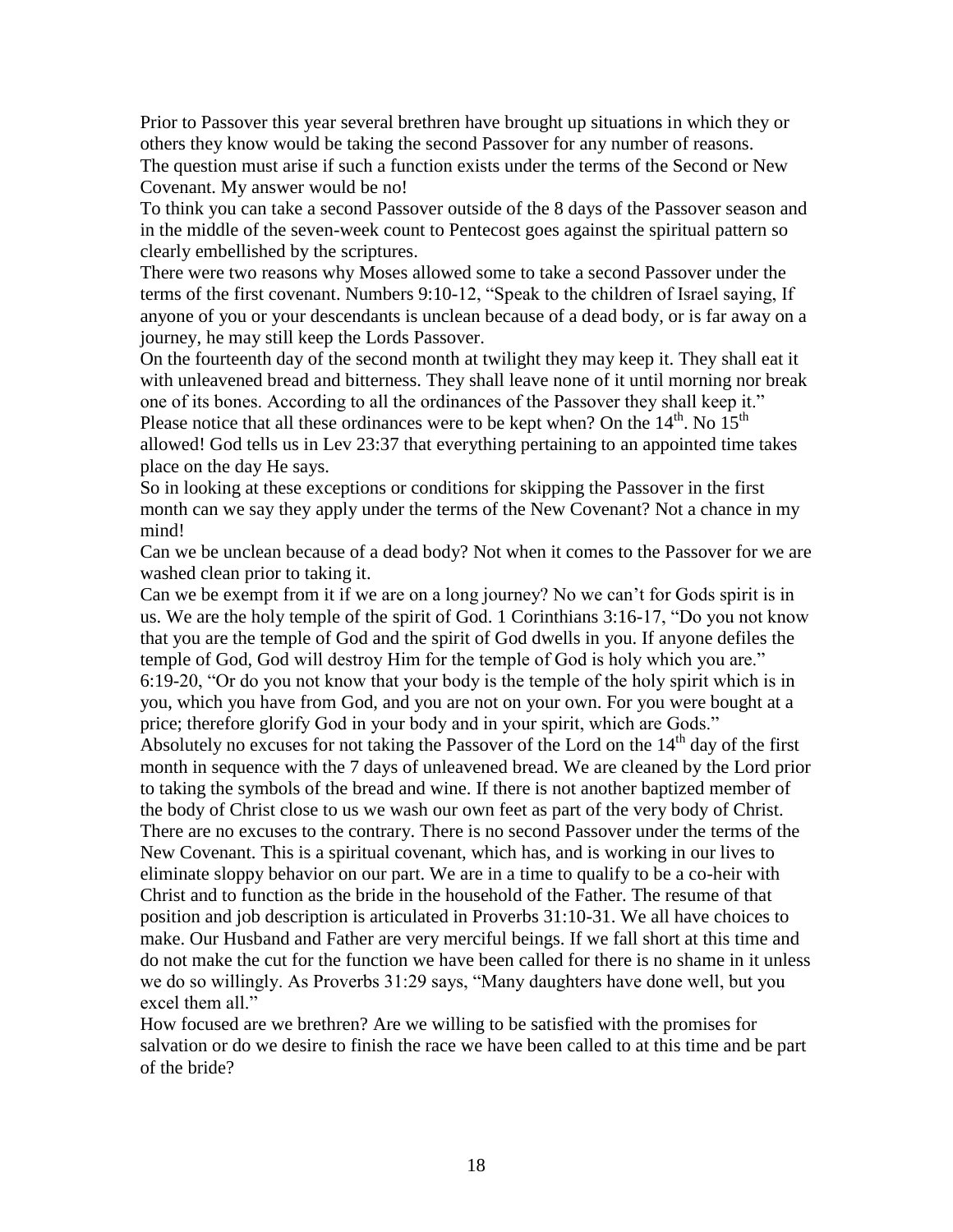Prior to Passover this year several brethren have brought up situations in which they or others they know would be taking the second Passover for any number of reasons. The question must arise if such a function exists under the terms of the Second or New Covenant. My answer would be no!

To think you can take a second Passover outside of the 8 days of the Passover season and in the middle of the seven-week count to Pentecost goes against the spiritual pattern so clearly embellished by the scriptures.

There were two reasons why Moses allowed some to take a second Passover under the terms of the first covenant. Numbers 9:10-12, "Speak to the children of Israel saying, If anyone of you or your descendants is unclean because of a dead body, or is far away on a journey, he may still keep the Lords Passover.

On the fourteenth day of the second month at twilight they may keep it. They shall eat it with unleavened bread and bitterness. They shall leave none of it until morning nor break one of its bones. According to all the ordinances of the Passover they shall keep it." Please notice that all these ordinances were to be kept when? On the  $14<sup>th</sup>$ . No  $15<sup>th</sup>$ allowed! God tells us in Lev 23:37 that everything pertaining to an appointed time takes place on the day He says.

So in looking at these exceptions or conditions for skipping the Passover in the first month can we say they apply under the terms of the New Covenant? Not a chance in my mind!

Can we be unclean because of a dead body? Not when it comes to the Passover for we are washed clean prior to taking it.

Can we be exempt from it if we are on a long journey? No we can't for Gods spirit is in us. We are the holy temple of the spirit of God. 1 Corinthians 3:16-17, "Do you not know that you are the temple of God and the spirit of God dwells in you. If anyone defiles the temple of God, God will destroy Him for the temple of God is holy which you are." 6:19-20, "Or do you not know that your body is the temple of the holy spirit which is in you, which you have from God, and you are not on your own. For you were bought at a price; therefore glorify God in your body and in your spirit, which are Gods." Absolutely no excuses for not taking the Passover of the Lord on the  $14<sup>th</sup>$  day of the first month in sequence with the 7 days of unleavened bread. We are cleaned by the Lord prior to taking the symbols of the bread and wine. If there is not another baptized member of the body of Christ close to us we wash our own feet as part of the very body of Christ. There are no excuses to the contrary. There is no second Passover under the terms of the New Covenant. This is a spiritual covenant, which has, and is working in our lives to eliminate sloppy behavior on our part. We are in a time to qualify to be a co-heir with Christ and to function as the bride in the household of the Father. The resume of that position and job description is articulated in Proverbs 31:10-31. We all have choices to make. Our Husband and Father are very merciful beings. If we fall short at this time and do not make the cut for the function we have been called for there is no shame in it unless we do so willingly. As Proverbs 31:29 says, "Many daughters have done well, but you excel them all."

How focused are we brethren? Are we willing to be satisfied with the promises for salvation or do we desire to finish the race we have been called to at this time and be part of the bride?